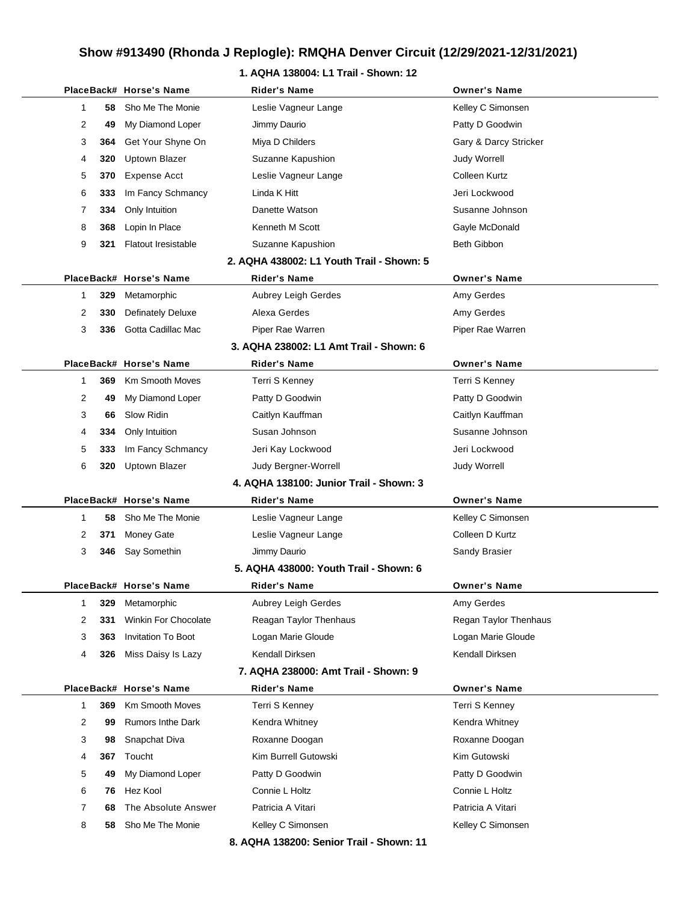### **1. AQHA 138004: L1 Trail - Shown: 12**

|   |     | PlaceBack# Horse's Name     | Rider's Name                              | <b>Owner's Name</b>   |
|---|-----|-----------------------------|-------------------------------------------|-----------------------|
| 1 | 58  | Sho Me The Monie            | Leslie Vagneur Lange                      | Kelley C Simonsen     |
| 2 | 49  | My Diamond Loper            | Jimmy Daurio                              | Patty D Goodwin       |
| 3 | 364 | Get Your Shyne On           | Miya D Childers                           | Gary & Darcy Stricker |
| 4 | 320 | <b>Uptown Blazer</b>        | Suzanne Kapushion                         | <b>Judy Worrell</b>   |
| 5 | 370 | Expense Acct                | Leslie Vagneur Lange                      | Colleen Kurtz         |
| 6 | 333 | Im Fancy Schmancy           | Linda K Hitt                              | Jeri Lockwood         |
| 7 | 334 | Only Intuition              | Danette Watson                            | Susanne Johnson       |
| 8 | 368 | Lopin In Place              | Kenneth M Scott                           | Gayle McDonald        |
| 9 | 321 | <b>Flatout Iresistable</b>  | Suzanne Kapushion                         | <b>Beth Gibbon</b>    |
|   |     |                             | 2. AQHA 438002: L1 Youth Trail - Shown: 5 |                       |
|   |     | PlaceBack# Horse's Name     | Rider's Name                              | <b>Owner's Name</b>   |
| 1 | 329 | Metamorphic                 | Aubrey Leigh Gerdes                       | Amy Gerdes            |
| 2 | 330 | <b>Definately Deluxe</b>    | Alexa Gerdes                              | Amy Gerdes            |
| 3 | 336 | Gotta Cadillac Mac          | Piper Rae Warren                          | Piper Rae Warren      |
|   |     |                             | 3. AQHA 238002: L1 Amt Trail - Shown: 6   |                       |
|   |     | PlaceBack# Horse's Name     | <b>Rider's Name</b>                       | <b>Owner's Name</b>   |
| 1 | 369 | <b>Km Smooth Moves</b>      | Terri S Kenney                            | Terri S Kenney        |
| 2 | 49  | My Diamond Loper            | Patty D Goodwin                           | Patty D Goodwin       |
| 3 | 66  | Slow Ridin                  | Caitlyn Kauffman                          | Caitlyn Kauffman      |
| 4 | 334 | Only Intuition              | Susan Johnson                             | Susanne Johnson       |
| 5 | 333 | Im Fancy Schmancy           | Jeri Kay Lockwood                         | Jeri Lockwood         |
| 6 |     | 320 Uptown Blazer           | Judy Bergner-Worrell                      | <b>Judy Worrell</b>   |
|   |     |                             | 4. AQHA 138100: Junior Trail - Shown: 3   |                       |
|   |     | PlaceBack# Horse's Name     | Rider's Name                              | <b>Owner's Name</b>   |
| 1 | 58  | Sho Me The Monie            | Leslie Vagneur Lange                      | Kelley C Simonsen     |
| 2 | 371 | <b>Money Gate</b>           | Leslie Vagneur Lange                      | Colleen D Kurtz       |
| 3 | 346 | Say Somethin                | Jimmy Daurio                              | Sandy Brasier         |
|   |     |                             | 5. AQHA 438000: Youth Trail - Shown: 6    |                       |
|   |     | PlaceBack# Horse's Name     | Rider's Name                              | Owner's Name          |
| 1 | 329 | Metamorphic                 | Aubrey Leigh Gerdes                       | Amy Gerdes            |
| 2 | 331 | <b>Winkin For Chocolate</b> | Reagan Taylor Thenhaus                    | Regan Taylor Thenhaus |
| 3 | 363 | Invitation To Boot          | Logan Marie Gloude                        | Logan Marie Gloude    |
| 4 | 326 | Miss Daisy Is Lazy          | Kendall Dirksen                           | Kendall Dirksen       |
|   |     |                             | 7. AQHA 238000: Amt Trail - Shown: 9      |                       |
|   |     | PlaceBack# Horse's Name     | <b>Rider's Name</b>                       | <b>Owner's Name</b>   |
| 1 | 369 | Km Smooth Moves             | Terri S Kenney                            | Terri S Kenney        |
| 2 | 99  | <b>Rumors Inthe Dark</b>    | Kendra Whitney                            | Kendra Whitney        |
| 3 | 98  | Snapchat Diva               | Roxanne Doogan                            | Roxanne Doogan        |
| 4 | 367 | Toucht                      | Kim Burrell Gutowski                      | Kim Gutowski          |
| 5 | 49  | My Diamond Loper            | Patty D Goodwin                           | Patty D Goodwin       |
| 6 | 76  | Hez Kool                    | Connie L Holtz                            | Connie L Holtz        |
| 7 | 68  | The Absolute Answer         | Patricia A Vitari                         | Patricia A Vitari     |
| 8 | 58  | Sho Me The Monie            | Kelley C Simonsen                         | Kelley C Simonsen     |
|   |     |                             | 8. AQHA 138200: Senior Trail - Shown: 11  |                       |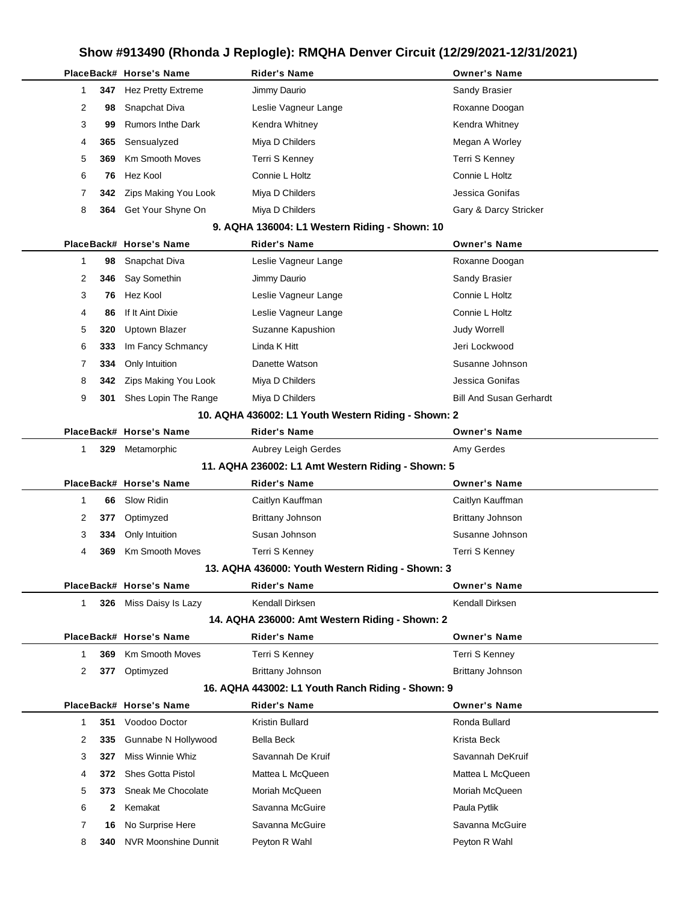|   |              | PlaceBack# Horse's Name     | Rider's Name                                        | <b>Owner's Name</b>            |
|---|--------------|-----------------------------|-----------------------------------------------------|--------------------------------|
| 1 | 347          | <b>Hez Pretty Extreme</b>   | Jimmy Daurio                                        | Sandy Brasier                  |
| 2 | 98           | Snapchat Diva               | Leslie Vagneur Lange                                | Roxanne Doogan                 |
| 3 | 99           | <b>Rumors Inthe Dark</b>    | Kendra Whitney                                      | Kendra Whitney                 |
| 4 | 365          | Sensualyzed                 | Miya D Childers                                     | Megan A Worley                 |
| 5 | 369          | <b>Km Smooth Moves</b>      | Terri S Kenney                                      | Terri S Kenney                 |
| 6 | 76           | Hez Kool                    | Connie L Holtz                                      | Connie L Holtz                 |
| 7 | 342          | Zips Making You Look        | Miya D Childers                                     | Jessica Gonifas                |
| 8 | 364          | Get Your Shyne On           | Miya D Childers                                     | Gary & Darcy Stricker          |
|   |              |                             | 9. AQHA 136004: L1 Western Riding - Shown: 10       |                                |
|   |              | PlaceBack# Horse's Name     | <b>Rider's Name</b>                                 | <b>Owner's Name</b>            |
| 1 | 98           | Snapchat Diva               | Leslie Vagneur Lange                                | Roxanne Doogan                 |
| 2 | 346          | Say Somethin                | Jimmy Daurio                                        | Sandy Brasier                  |
| 3 | 76           | Hez Kool                    | Leslie Vagneur Lange                                | Connie L Holtz                 |
| 4 | 86           | If It Aint Dixie            | Leslie Vagneur Lange                                | Connie L Holtz                 |
| 5 | 320          | <b>Uptown Blazer</b>        | Suzanne Kapushion                                   | <b>Judy Worrell</b>            |
| 6 | 333          | Im Fancy Schmancy           | Linda K Hitt                                        | Jeri Lockwood                  |
| 7 | 334          | Only Intuition              | Danette Watson                                      | Susanne Johnson                |
| 8 | 342          | Zips Making You Look        | Miya D Childers                                     | Jessica Gonifas                |
| 9 | 301          | Shes Lopin The Range        | Miya D Childers                                     | <b>Bill And Susan Gerhardt</b> |
|   |              |                             | 10. AQHA 436002: L1 Youth Western Riding - Shown: 2 |                                |
|   |              | PlaceBack# Horse's Name     | <b>Rider's Name</b>                                 | <b>Owner's Name</b>            |
| 1 |              | 329 Metamorphic             | Aubrey Leigh Gerdes                                 | Amy Gerdes                     |
|   |              |                             | 11. AQHA 236002: L1 Amt Western Riding - Shown: 5   |                                |
|   |              | PlaceBack# Horse's Name     | <b>Rider's Name</b>                                 | <b>Owner's Name</b>            |
| 1 | 66           | Slow Ridin                  | Caitlyn Kauffman                                    | Caitlyn Kauffman               |
| 2 | 377          | Optimyzed                   | <b>Brittany Johnson</b>                             | Brittany Johnson               |
| 3 | 334          | Only Intuition              | Susan Johnson                                       | Susanne Johnson                |
| 4 | 369          | <b>Km Smooth Moves</b>      | Terri S Kenney                                      | Terri S Kenney                 |
|   |              |                             | 13. AQHA 436000: Youth Western Riding - Shown: 3    |                                |
|   |              | PlaceBack# Horse's Name     | <b>Rider's Name</b>                                 | <b>Owner's Name</b>            |
| 1 |              | 326 Miss Daisy Is Lazy      | Kendall Dirksen                                     | Kendall Dirksen                |
|   |              |                             | 14. AQHA 236000: Amt Western Riding - Shown: 2      |                                |
|   |              | PlaceBack# Horse's Name     | <b>Rider's Name</b>                                 | <b>Owner's Name</b>            |
| 1 | 369          | <b>Km Smooth Moves</b>      | Terri S Kenney                                      | Terri S Kenney                 |
| 2 | 377          | Optimyzed                   | <b>Brittany Johnson</b>                             | Brittany Johnson               |
|   |              |                             | 16. AQHA 443002: L1 Youth Ranch Riding - Shown: 9   |                                |
|   |              | PlaceBack# Horse's Name     | <b>Rider's Name</b>                                 | <b>Owner's Name</b>            |
| 1 | 351          | Voodoo Doctor               | Kristin Bullard                                     | Ronda Bullard                  |
| 2 | 335          | Gunnabe N Hollywood         | Bella Beck                                          | Krista Beck                    |
| 3 | 327          | Miss Winnie Whiz            | Savannah De Kruif                                   | Savannah DeKruif               |
| 4 | 372          | <b>Shes Gotta Pistol</b>    | Mattea L McQueen                                    | Mattea L McQueen               |
| 5 | 373.         | Sneak Me Chocolate          | Moriah McQueen                                      | Moriah McQueen                 |
| 6 | $\mathbf{2}$ | Kemakat                     | Savanna McGuire                                     | Paula Pytlik                   |
| 7 | 16           | No Surprise Here            | Savanna McGuire                                     | Savanna McGuire                |
| 8 | 340          | <b>NVR Moonshine Dunnit</b> | Peyton R Wahl                                       | Peyton R Wahl                  |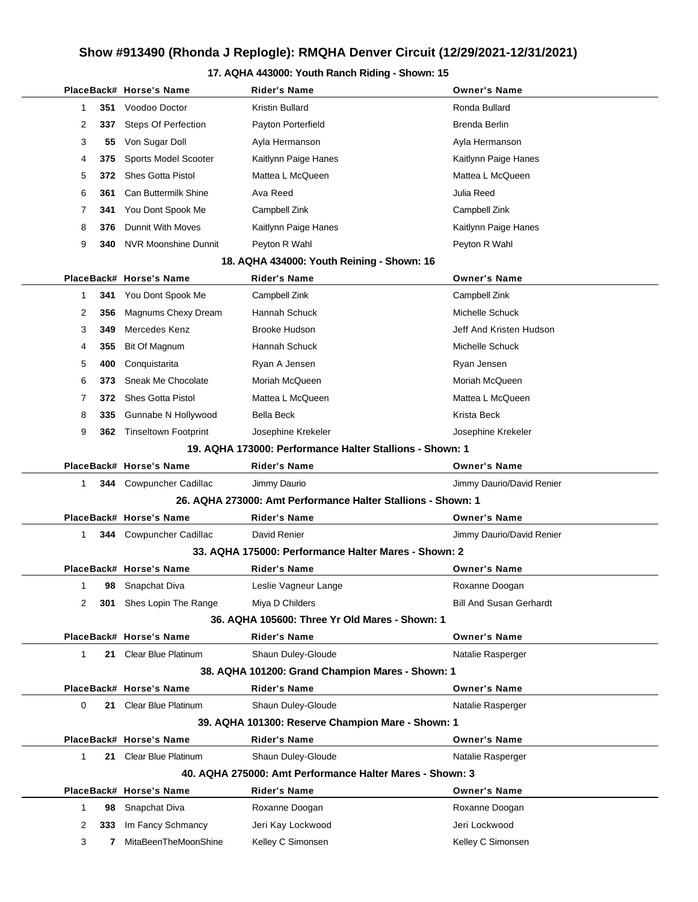#### **17. AQHA 443000: Youth Ranch Riding - Shown: 15**

|              |     | PlaceBack# Horse's Name                              | Rider's Name                                                 | <b>Owner's Name</b>            |
|--------------|-----|------------------------------------------------------|--------------------------------------------------------------|--------------------------------|
| 1            | 351 | Voodoo Doctor                                        | Kristin Bullard                                              | Ronda Bullard                  |
| 2            | 337 | Steps Of Perfection                                  | Payton Porterfield                                           | Brenda Berlin                  |
| 3            | 55  | Von Sugar Doll                                       | Ayla Hermanson                                               | Ayla Hermanson                 |
| 4            | 375 | Sports Model Scooter                                 | Kaitlynn Paige Hanes                                         | Kaitlynn Paige Hanes           |
| 5            | 372 | <b>Shes Gotta Pistol</b>                             | Mattea L McQueen                                             | Mattea L McQueen               |
| 6            | 361 | Can Buttermilk Shine                                 | Ava Reed                                                     | Julia Reed                     |
| 7            | 341 | You Dont Spook Me                                    | Campbell Zink                                                | Campbell Zink                  |
| 8            | 376 | <b>Dunnit With Moves</b>                             | Kaitlynn Paige Hanes                                         | Kaitlynn Paige Hanes           |
| 9            | 340 | <b>NVR Moonshine Dunnit</b>                          | Peyton R Wahl                                                | Peyton R Wahl                  |
|              |     |                                                      | 18. AQHA 434000: Youth Reining - Shown: 16                   |                                |
|              |     | PlaceBack# Horse's Name                              | <b>Rider's Name</b>                                          | <b>Owner's Name</b>            |
| 1            | 341 | You Dont Spook Me                                    | Campbell Zink                                                | Campbell Zink                  |
| 2            | 356 | Magnums Chexy Dream                                  | Hannah Schuck                                                | Michelle Schuck                |
| 3            | 349 | Mercedes Kenz                                        | <b>Brooke Hudson</b>                                         | Jeff And Kristen Hudson        |
| 4            | 355 | Bit Of Magnum                                        | Hannah Schuck                                                | Michelle Schuck                |
| 5            | 400 | Conquistarita                                        | Ryan A Jensen                                                | Ryan Jensen                    |
| 6            | 373 | Sneak Me Chocolate                                   | Moriah McQueen                                               | Moriah McQueen                 |
| 7            | 372 | <b>Shes Gotta Pistol</b>                             | Mattea L McQueen                                             | Mattea L McQueen               |
| 8            | 335 | Gunnabe N Hollywood                                  | <b>Bella Beck</b>                                            | Krista Beck                    |
| 9            | 362 | <b>Tinseltown Footprint</b>                          | Josephine Krekeler                                           | Josephine Krekeler             |
|              |     |                                                      | 19. AQHA 173000: Performance Halter Stallions - Shown: 1     |                                |
|              |     | PlaceBack# Horse's Name                              | <b>Rider's Name</b>                                          | <b>Owner's Name</b>            |
| 1            |     | 344 Cowpuncher Cadillac                              | Jimmy Daurio                                                 | Jimmy Daurio/David Renier      |
|              |     |                                                      | 26. AQHA 273000: Amt Performance Halter Stallions - Shown: 1 |                                |
|              |     | PlaceBack# Horse's Name                              | <b>Rider's Name</b>                                          | <b>Owner's Name</b>            |
| $\mathbf{1}$ |     | 344 Cowpuncher Cadillac                              | David Renier                                                 | Jimmy Daurio/David Renier      |
|              |     | 33. AQHA 175000: Performance Halter Mares - Shown: 2 |                                                              |                                |
|              |     | PlaceBack# Horse's Name                              | <b>Rider's Name</b>                                          | <b>Owner's Name</b>            |
| 1            | 98  | Snapchat Diva                                        | Leslie Vagneur Lange                                         | Roxanne Doogan                 |
| 2            | 301 | Shes Lopin The Range                                 | Miya D Childers                                              | <b>Bill And Susan Gerhardt</b> |
|              |     |                                                      | 36. AQHA 105600: Three Yr Old Mares - Shown: 1               |                                |
|              |     | PlaceBack# Horse's Name                              | <b>Rider's Name</b>                                          | <b>Owner's Name</b>            |
| $\mathbf 1$  | 21  | <b>Clear Blue Platinum</b>                           | Shaun Duley-Gloude                                           | Natalie Rasperger              |
|              |     |                                                      | 38. AQHA 101200: Grand Champion Mares - Shown: 1             |                                |
|              |     | PlaceBack# Horse's Name                              | <b>Rider's Name</b>                                          | <b>Owner's Name</b>            |
| 0            | 21  | <b>Clear Blue Platinum</b>                           | Shaun Duley-Gloude                                           | Natalie Rasperger              |
|              |     |                                                      | 39. AQHA 101300: Reserve Champion Mare - Shown: 1            |                                |
|              |     | PlaceBack# Horse's Name                              | <b>Rider's Name</b>                                          | <b>Owner's Name</b>            |
| $\mathbf{1}$ |     | 21 Clear Blue Platinum                               | Shaun Duley-Gloude                                           | Natalie Rasperger              |
|              |     |                                                      | 40. AQHA 275000: Amt Performance Halter Mares - Shown: 3     |                                |
|              |     | PlaceBack# Horse's Name                              | Rider's Name                                                 | <b>Owner's Name</b>            |
| $\mathbf{1}$ | 98  | Snapchat Diva                                        | Roxanne Doogan                                               | Roxanne Doogan                 |
| 2            | 333 | Im Fancy Schmancy                                    | Jeri Kay Lockwood                                            | Jeri Lockwood                  |
| 3            | 7   | MitaBeenTheMoonShine                                 | Kelley C Simonsen                                            | Kelley C Simonsen              |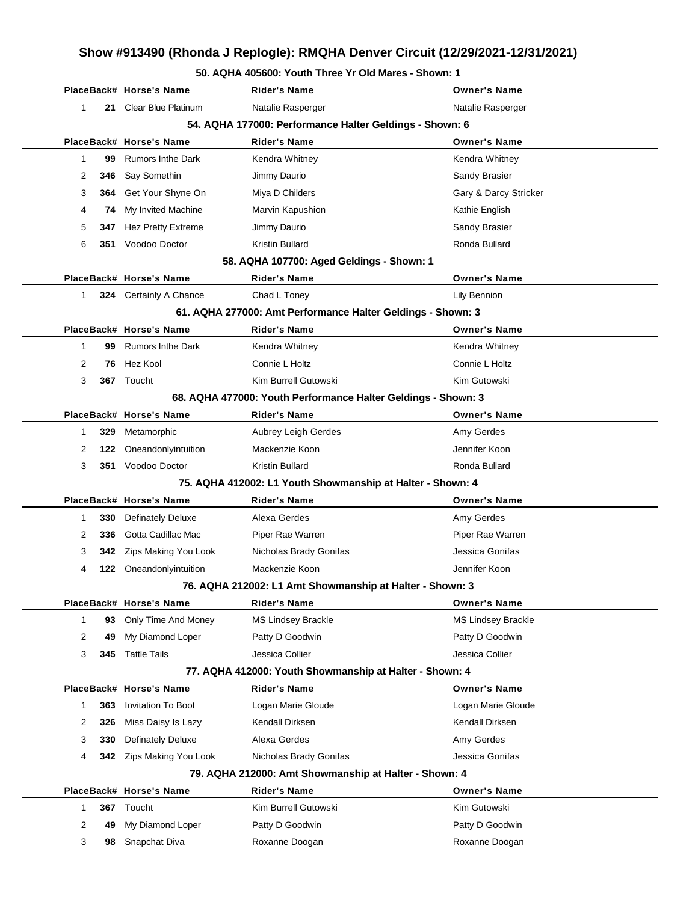#### **50. AQHA 405600: Youth Three Yr Old Mares - Shown: 1**

|   |     | PlaceBack# Horse's Name                                  | Rider's Name                                                  | <b>Owner's Name</b>   |
|---|-----|----------------------------------------------------------|---------------------------------------------------------------|-----------------------|
| 1 | 21  | <b>Clear Blue Platinum</b>                               | Natalie Rasperger                                             | Natalie Rasperger     |
|   |     |                                                          | 54. AQHA 177000: Performance Halter Geldings - Shown: 6       |                       |
|   |     | PlaceBack# Horse's Name                                  | <b>Rider's Name</b>                                           | <b>Owner's Name</b>   |
| 1 | 99  | <b>Rumors Inthe Dark</b>                                 | Kendra Whitney                                                | Kendra Whitney        |
| 2 | 346 | Say Somethin                                             | Jimmy Daurio                                                  | Sandy Brasier         |
| 3 | 364 | Get Your Shyne On                                        | Miya D Childers                                               | Gary & Darcy Stricker |
| 4 | 74  | My Invited Machine                                       | Marvin Kapushion                                              | Kathie English        |
| 5 | 347 | Hez Pretty Extreme                                       | Jimmy Daurio                                                  | Sandy Brasier         |
| 6 | 351 | Voodoo Doctor                                            | Kristin Bullard                                               | Ronda Bullard         |
|   |     |                                                          | 58. AQHA 107700: Aged Geldings - Shown: 1                     |                       |
|   |     | PlaceBack# Horse's Name                                  | <b>Rider's Name</b>                                           | <b>Owner's Name</b>   |
| 1 |     | 324 Certainly A Chance                                   | Chad L Toney                                                  | Lily Bennion          |
|   |     |                                                          | 61. AQHA 277000: Amt Performance Halter Geldings - Shown: 3   |                       |
|   |     | PlaceBack# Horse's Name                                  | <b>Rider's Name</b>                                           | <b>Owner's Name</b>   |
| 1 | 99  | <b>Rumors Inthe Dark</b>                                 | Kendra Whitney                                                | Kendra Whitney        |
| 2 | 76  | Hez Kool                                                 | Connie L Holtz                                                | Connie L Holtz        |
| 3 | 367 | Toucht                                                   | Kim Burrell Gutowski                                          | Kim Gutowski          |
|   |     |                                                          | 68. AQHA 477000: Youth Performance Halter Geldings - Shown: 3 |                       |
|   |     | PlaceBack# Horse's Name                                  | Rider's Name                                                  | <b>Owner's Name</b>   |
| 1 | 329 | Metamorphic                                              | Aubrey Leigh Gerdes                                           | Amy Gerdes            |
| 2 | 122 | Oneandonlyintuition                                      | Mackenzie Koon                                                | Jennifer Koon         |
| 3 |     | 351 Voodoo Doctor                                        | Kristin Bullard                                               | Ronda Bullard         |
|   |     |                                                          | 75. AQHA 412002: L1 Youth Showmanship at Halter - Shown: 4    |                       |
|   |     | PlaceBack# Horse's Name                                  | Rider's Name                                                  | <b>Owner's Name</b>   |
| 1 | 330 | <b>Definately Deluxe</b>                                 | Alexa Gerdes                                                  | Amy Gerdes            |
| 2 | 336 | Gotta Cadillac Mac                                       | Piper Rae Warren                                              | Piper Rae Warren      |
| 3 | 342 | Zips Making You Look                                     | Nicholas Brady Gonifas                                        | Jessica Gonifas       |
| 4 | 122 | Oneandonlyintuition                                      | Mackenzie Koon                                                | Jennifer Koon         |
|   |     | 76. AQHA 212002: L1 Amt Showmanship at Halter - Shown: 3 |                                                               |                       |
|   |     | PlaceBack# Horse's Name                                  | Rider's Name                                                  | <b>Owner's Name</b>   |
| 1 | 93  | Only Time And Money                                      | <b>MS Lindsey Brackle</b>                                     | MS Lindsey Brackle    |
| 2 | 49  | My Diamond Loper                                         | Patty D Goodwin                                               | Patty D Goodwin       |
| 3 | 345 | <b>Tattle Tails</b>                                      | Jessica Collier                                               | Jessica Collier       |
|   |     |                                                          | 77. AQHA 412000: Youth Showmanship at Halter - Shown: 4       |                       |
|   |     | PlaceBack# Horse's Name                                  | Rider's Name                                                  | <b>Owner's Name</b>   |
| 1 | 363 | <b>Invitation To Boot</b>                                | Logan Marie Gloude                                            | Logan Marie Gloude    |
| 2 | 326 | Miss Daisy Is Lazy                                       | Kendall Dirksen                                               | Kendall Dirksen       |
| 3 | 330 | <b>Definately Deluxe</b>                                 | Alexa Gerdes                                                  | Amy Gerdes            |
| 4 | 342 | Zips Making You Look                                     | Nicholas Brady Gonifas                                        | Jessica Gonifas       |
|   |     |                                                          | 79. AQHA 212000: Amt Showmanship at Halter - Shown: 4         |                       |
|   |     | PlaceBack# Horse's Name                                  | <b>Rider's Name</b>                                           | <b>Owner's Name</b>   |
| 1 | 367 | Toucht                                                   | Kim Burrell Gutowski                                          | Kim Gutowski          |
| 2 | 49  | My Diamond Loper                                         | Patty D Goodwin                                               | Patty D Goodwin       |
| 3 | 98  | Snapchat Diva                                            | Roxanne Doogan                                                | Roxanne Doogan        |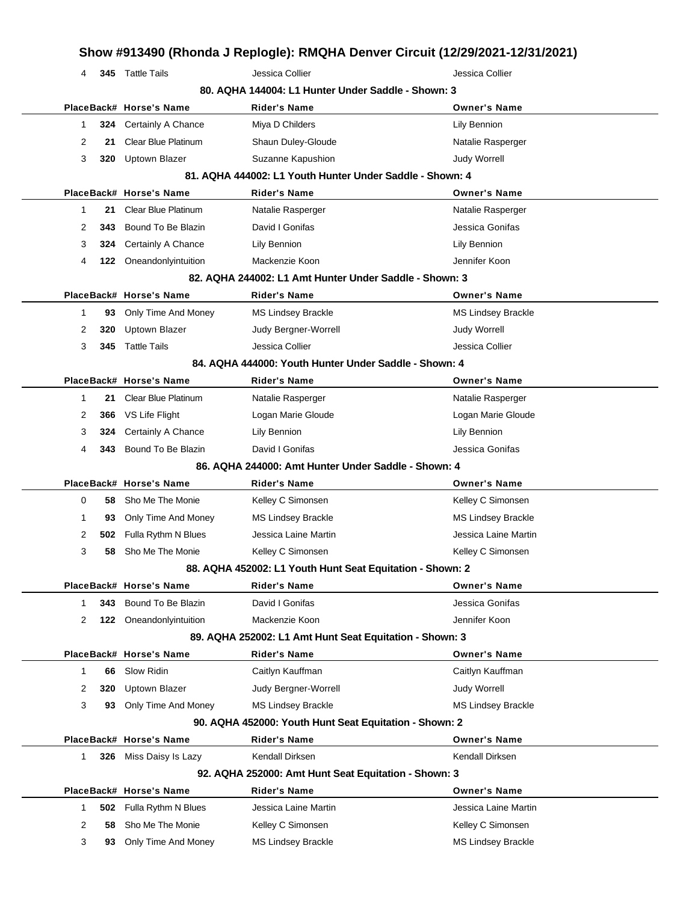|              |     |                            |                                                           | Show #913490 (Rhonda J Replogle): RMQHA Denver Circuit (12/29/2021-12/31/2021) |
|--------------|-----|----------------------------|-----------------------------------------------------------|--------------------------------------------------------------------------------|
| 4            |     | 345 Tattle Tails           | Jessica Collier                                           | Jessica Collier                                                                |
|              |     |                            | 80. AQHA 144004: L1 Hunter Under Saddle - Shown: 3        |                                                                                |
|              |     | PlaceBack# Horse's Name    | Rider's Name                                              | <b>Owner's Name</b>                                                            |
| 1            | 324 | Certainly A Chance         | Miya D Childers                                           | Lily Bennion                                                                   |
| 2            | 21  | <b>Clear Blue Platinum</b> | Shaun Duley-Gloude                                        | Natalie Rasperger                                                              |
| 3            | 320 | <b>Uptown Blazer</b>       | Suzanne Kapushion                                         | Judy Worrell                                                                   |
|              |     |                            | 81. AQHA 444002: L1 Youth Hunter Under Saddle - Shown: 4  |                                                                                |
|              |     | PlaceBack# Horse's Name    | <b>Rider's Name</b>                                       | <b>Owner's Name</b>                                                            |
| 1            | 21  | <b>Clear Blue Platinum</b> | Natalie Rasperger                                         | Natalie Rasperger                                                              |
| 2            | 343 | Bound To Be Blazin         | David I Gonifas                                           | Jessica Gonifas                                                                |
| 3            | 324 | Certainly A Chance         | Lily Bennion                                              | Lily Bennion                                                                   |
| 4            | 122 | Oneandonlyintuition        | Mackenzie Koon                                            | Jennifer Koon                                                                  |
|              |     |                            | 82. AQHA 244002: L1 Amt Hunter Under Saddle - Shown: 3    |                                                                                |
|              |     | PlaceBack# Horse's Name    | <b>Rider's Name</b>                                       | <b>Owner's Name</b>                                                            |
| 1            | 93  | Only Time And Money        | <b>MS Lindsey Brackle</b>                                 | <b>MS Lindsey Brackle</b>                                                      |
| 2            | 320 | Uptown Blazer              | Judy Bergner-Worrell                                      | <b>Judy Worrell</b>                                                            |
| 3            | 345 | <b>Tattle Tails</b>        | Jessica Collier                                           | Jessica Collier                                                                |
|              |     |                            | 84. AQHA 444000: Youth Hunter Under Saddle - Shown: 4     |                                                                                |
|              |     | PlaceBack# Horse's Name    | Rider's Name                                              | <b>Owner's Name</b>                                                            |
| 1            | 21  | <b>Clear Blue Platinum</b> | Natalie Rasperger                                         | Natalie Rasperger                                                              |
| 2            | 366 | VS Life Flight             | Logan Marie Gloude                                        | Logan Marie Gloude                                                             |
| 3            | 324 | Certainly A Chance         | Lily Bennion                                              | Lily Bennion                                                                   |
| 4            | 343 | Bound To Be Blazin         | David I Gonifas                                           | Jessica Gonifas                                                                |
|              |     |                            | 86. AQHA 244000: Amt Hunter Under Saddle - Shown: 4       |                                                                                |
|              |     | PlaceBack# Horse's Name    | Rider's Name                                              | <b>Owner's Name</b>                                                            |
| 0            | 58  | Sho Me The Monie           | Kelley C Simonsen                                         | Kelley C Simonsen                                                              |
| 1            | 93  | Only Time And Money        | <b>MS Lindsey Brackle</b>                                 | <b>MS Lindsey Brackle</b>                                                      |
| 2            | 502 | Fulla Rythm N Blues        | Jessica Laine Martin                                      | Jessica Laine Martin                                                           |
| 3            | 58  | Sho Me The Monie           | Kelley C Simonsen                                         | Kelley C Simonsen                                                              |
|              |     |                            | 88. AQHA 452002: L1 Youth Hunt Seat Equitation - Shown: 2 |                                                                                |
|              |     | PlaceBack# Horse's Name    | <b>Rider's Name</b>                                       | <b>Owner's Name</b>                                                            |
| $\mathbf{1}$ | 343 | Bound To Be Blazin         | David I Gonifas                                           | Jessica Gonifas                                                                |
| 2            |     | 122 Oneandonlyintuition    | Mackenzie Koon                                            | Jennifer Koon                                                                  |
|              |     |                            | 89. AQHA 252002: L1 Amt Hunt Seat Equitation - Shown: 3   |                                                                                |
|              |     | PlaceBack# Horse's Name    | <b>Rider's Name</b>                                       | <b>Owner's Name</b>                                                            |
| 1            | 66  | Slow Ridin                 | Caitlyn Kauffman                                          | Caitlyn Kauffman                                                               |
| 2            | 320 | Uptown Blazer              | Judy Bergner-Worrell                                      | <b>Judy Worrell</b>                                                            |
| 3            | 93  | Only Time And Money        | <b>MS Lindsey Brackle</b>                                 | <b>MS Lindsey Brackle</b>                                                      |
|              |     |                            | 90. AQHA 452000: Youth Hunt Seat Equitation - Shown: 2    |                                                                                |
|              |     | PlaceBack# Horse's Name    | <b>Rider's Name</b>                                       | <b>Owner's Name</b>                                                            |
| 1            | 326 | Miss Daisy Is Lazy         | Kendall Dirksen                                           | Kendall Dirksen                                                                |
|              |     |                            | 92. AQHA 252000: Amt Hunt Seat Equitation - Shown: 3      |                                                                                |
|              |     | PlaceBack# Horse's Name    | <b>Rider's Name</b>                                       | <b>Owner's Name</b>                                                            |
| $\mathbf{1}$ | 502 | Fulla Rythm N Blues        | Jessica Laine Martin                                      | Jessica Laine Martin                                                           |
| 2            | 58  | Sho Me The Monie           | Kelley C Simonsen                                         | Kelley C Simonsen                                                              |
| 3            | 93  | Only Time And Money        | <b>MS Lindsey Brackle</b>                                 | <b>MS Lindsey Brackle</b>                                                      |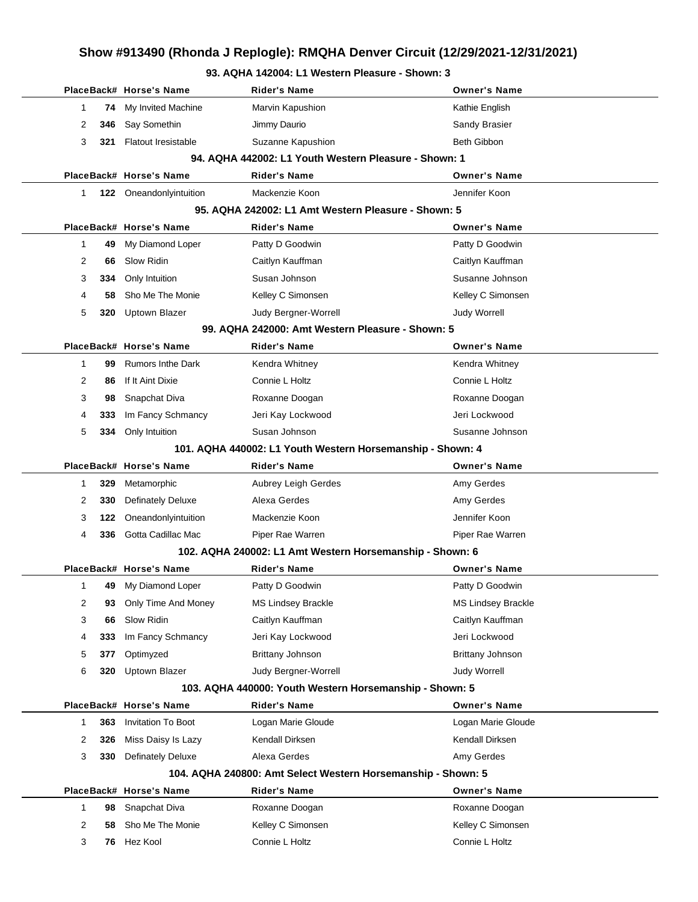#### **93. AQHA 142004: L1 Western Pleasure - Shown: 3**

|   |     | PlaceBack# Horse's Name    | <b>Rider's Name</b>                                          | Owner's Name              |
|---|-----|----------------------------|--------------------------------------------------------------|---------------------------|
| 1 | 74  | My Invited Machine         | Marvin Kapushion                                             | Kathie English            |
| 2 | 346 | Say Somethin               | Jimmy Daurio                                                 | Sandy Brasier             |
| 3 | 321 | <b>Flatout Iresistable</b> | Suzanne Kapushion                                            | Beth Gibbon               |
|   |     |                            | 94. AQHA 442002: L1 Youth Western Pleasure - Shown: 1        |                           |
|   |     | PlaceBack# Horse's Name    | <b>Rider's Name</b>                                          | <b>Owner's Name</b>       |
| 1 |     | 122 Oneandonlyintuition    | Mackenzie Koon                                               | Jennifer Koon             |
|   |     |                            | 95. AQHA 242002: L1 Amt Western Pleasure - Shown: 5          |                           |
|   |     | PlaceBack# Horse's Name    | <b>Rider's Name</b>                                          | <b>Owner's Name</b>       |
| 1 | 49  | My Diamond Loper           | Patty D Goodwin                                              | Patty D Goodwin           |
| 2 | 66  | Slow Ridin                 | Caitlyn Kauffman                                             | Caitlyn Kauffman          |
| 3 | 334 | Only Intuition             | Susan Johnson                                                | Susanne Johnson           |
| 4 | 58  | Sho Me The Monie           | Kelley C Simonsen                                            | Kelley C Simonsen         |
| 5 | 320 | Uptown Blazer              | Judy Bergner-Worrell                                         | <b>Judy Worrell</b>       |
|   |     |                            | 99. AQHA 242000: Amt Western Pleasure - Shown: 5             |                           |
|   |     | PlaceBack# Horse's Name    | <b>Rider's Name</b>                                          | <b>Owner's Name</b>       |
| 1 | 99  | <b>Rumors Inthe Dark</b>   | Kendra Whitney                                               | Kendra Whitney            |
| 2 | 86  | If It Aint Dixie           | Connie L Holtz                                               | Connie L Holtz            |
| 3 | 98  | Snapchat Diva              | Roxanne Doogan                                               | Roxanne Doogan            |
| 4 | 333 | Im Fancy Schmancy          | Jeri Kay Lockwood                                            | Jeri Lockwood             |
| 5 | 334 | Only Intuition             | Susan Johnson                                                | Susanne Johnson           |
|   |     |                            | 101. AQHA 440002: L1 Youth Western Horsemanship - Shown: 4   |                           |
|   |     | PlaceBack# Horse's Name    | <b>Rider's Name</b>                                          | <b>Owner's Name</b>       |
| 1 | 329 | Metamorphic                | Aubrey Leigh Gerdes                                          | Amy Gerdes                |
| 2 | 330 | <b>Definately Deluxe</b>   | Alexa Gerdes                                                 | Amy Gerdes                |
| 3 | 122 | Oneandonlyintuition        | Mackenzie Koon                                               | Jennifer Koon             |
| 4 | 336 | Gotta Cadillac Mac         | Piper Rae Warren                                             | Piper Rae Warren          |
|   |     |                            | 102. AQHA 240002: L1 Amt Western Horsemanship - Shown: 6     |                           |
|   |     | PlaceBack# Horse's Name    | Rider's Name                                                 | <b>Owner's Name</b>       |
| 1 | 49  | My Diamond Loper           | Patty D Goodwin                                              | Patty D Goodwin           |
| 2 | 93  | Only Time And Money        | <b>MS Lindsey Brackle</b>                                    | <b>MS Lindsey Brackle</b> |
| 3 | 66  | Slow Ridin                 | Caitlyn Kauffman                                             | Caitlyn Kauffman          |
| 4 | 333 | Im Fancy Schmancy          | Jeri Kay Lockwood                                            | Jeri Lockwood             |
| 5 | 377 | Optimyzed                  | Brittany Johnson                                             | <b>Brittany Johnson</b>   |
| 6 | 320 | Uptown Blazer              | Judy Bergner-Worrell                                         | Judy Worrell              |
|   |     |                            | 103. AQHA 440000: Youth Western Horsemanship - Shown: 5      |                           |
|   |     | PlaceBack# Horse's Name    | <b>Rider's Name</b>                                          | <b>Owner's Name</b>       |
| 1 | 363 | <b>Invitation To Boot</b>  | Logan Marie Gloude                                           | Logan Marie Gloude        |
| 2 | 326 | Miss Daisy Is Lazy         | Kendall Dirksen                                              | Kendall Dirksen           |
| 3 | 330 | <b>Definately Deluxe</b>   | Alexa Gerdes                                                 | Amy Gerdes                |
|   |     |                            | 104. AQHA 240800: Amt Select Western Horsemanship - Shown: 5 |                           |
|   |     | PlaceBack# Horse's Name    | <b>Rider's Name</b>                                          | <b>Owner's Name</b>       |
| 1 | 98  | Snapchat Diva              | Roxanne Doogan                                               | Roxanne Doogan            |
| 2 | 58  | Sho Me The Monie           | Kelley C Simonsen                                            | Kelley C Simonsen         |
| 3 | 76  | Hez Kool                   | Connie L Holtz                                               | Connie L Holtz            |
|   |     |                            |                                                              |                           |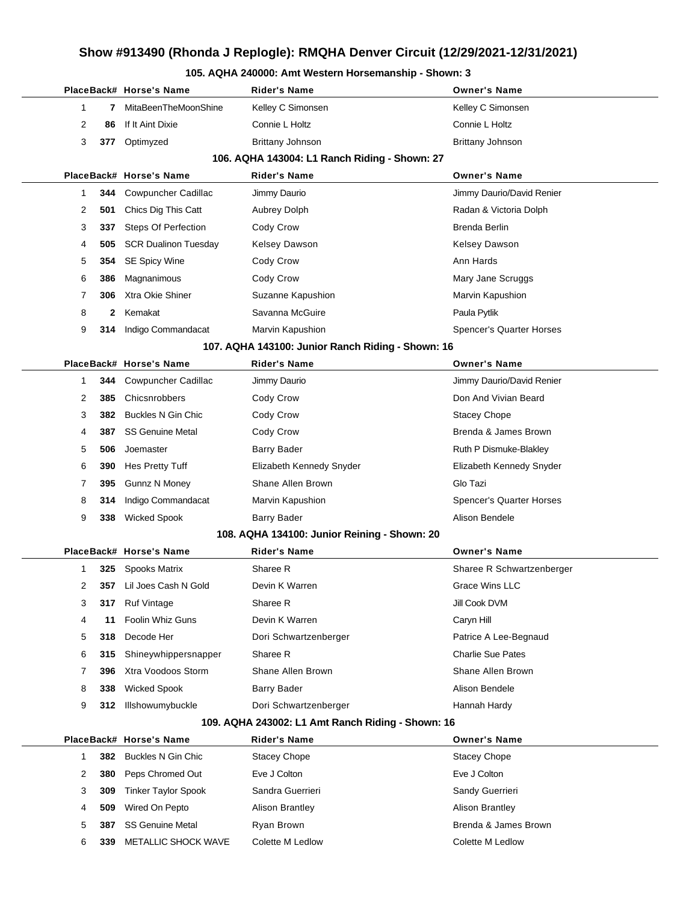#### **105. AQHA 240000: Amt Western Horsemanship - Shown: 3**

|   |              | PlaceBack# Horse's Name     | Rider's Name                                      | <b>Owner's Name</b>       |
|---|--------------|-----------------------------|---------------------------------------------------|---------------------------|
| 1 | 7            | MitaBeenTheMoonShine        | Kelley C Simonsen                                 | Kelley C Simonsen         |
| 2 | 86           | If It Aint Dixie            | Connie L Holtz                                    | Connie L Holtz            |
| 3 | 377          | Optimyzed                   | <b>Brittany Johnson</b>                           | Brittany Johnson          |
|   |              |                             | 106. AQHA 143004: L1 Ranch Riding - Shown: 27     |                           |
|   |              | PlaceBack# Horse's Name     | <b>Rider's Name</b>                               | <b>Owner's Name</b>       |
| 1 | 344          | <b>Cowpuncher Cadillac</b>  | Jimmy Daurio                                      | Jimmy Daurio/David Renier |
| 2 | 501          | Chics Dig This Catt         | <b>Aubrey Dolph</b>                               | Radan & Victoria Dolph    |
| 3 | 337          | <b>Steps Of Perfection</b>  | Cody Crow                                         | <b>Brenda Berlin</b>      |
| 4 | 505          | <b>SCR Dualinon Tuesday</b> | <b>Kelsey Dawson</b>                              | <b>Kelsey Dawson</b>      |
| 5 | 354          | <b>SE Spicy Wine</b>        | Cody Crow                                         | Ann Hards                 |
| 6 | 386          | Magnanimous                 | Cody Crow                                         | Mary Jane Scruggs         |
| 7 | 306          | Xtra Okie Shiner            | Suzanne Kapushion                                 | Marvin Kapushion          |
| 8 | $\mathbf{2}$ | Kemakat                     | Savanna McGuire                                   | Paula Pytlik              |
| 9 | 314          | Indigo Commandacat          | Marvin Kapushion                                  | Spencer's Quarter Horses  |
|   |              |                             | 107. AQHA 143100: Junior Ranch Riding - Shown: 16 |                           |
|   |              | PlaceBack# Horse's Name     | <b>Rider's Name</b>                               | <b>Owner's Name</b>       |
| 1 |              | 344 Cowpuncher Cadillac     | Jimmy Daurio                                      | Jimmy Daurio/David Renier |
| 2 | 385          | Chicsnrobbers               | Cody Crow                                         | Don And Vivian Beard      |
| 3 | 382          | Buckles N Gin Chic          | Cody Crow                                         | <b>Stacey Chope</b>       |
| 4 | 387          | <b>SS Genuine Metal</b>     | Cody Crow                                         | Brenda & James Brown      |
| 5 | 506          | Joemaster                   | Barry Bader                                       | Ruth P Dismuke-Blakley    |
| 6 | 390          | Hes Pretty Tuff             | Elizabeth Kennedy Snyder                          | Elizabeth Kennedy Snyder  |
| 7 | 395          | <b>Gunnz N Money</b>        | Shane Allen Brown                                 | Glo Tazi                  |
| 8 | 314          | Indigo Commandacat          | Marvin Kapushion                                  | Spencer's Quarter Horses  |
| 9 | 338          | <b>Wicked Spook</b>         | Barry Bader                                       | Alison Bendele            |
|   |              |                             | 108. AQHA 134100: Junior Reining - Shown: 20      |                           |
|   |              | PlaceBack# Horse's Name     | <b>Rider's Name</b>                               | <b>Owner's Name</b>       |
| 1 | 325          | Spooks Matrix               | Sharee R                                          | Sharee R Schwartzenberger |
| 2 | 357          | Lil Joes Cash N Gold        | Devin K Warren                                    | <b>Grace Wins LLC</b>     |
| 3 | 317          | <b>Ruf Vintage</b>          | Sharee R                                          | Jill Cook DVM             |
| 4 | 11           | <b>Foolin Whiz Guns</b>     | Devin K Warren                                    | Caryn Hill                |
| 5 | 318          | Decode Her                  | Dori Schwartzenberger                             | Patrice A Lee-Begnaud     |
| 6 | 315          | Shineywhippersnapper        | Sharee R                                          | <b>Charlie Sue Pates</b>  |
| 7 | 396          | Xtra Voodoos Storm          | Shane Allen Brown                                 | Shane Allen Brown         |
| 8 | 338          | <b>Wicked Spook</b>         | Barry Bader                                       | Alison Bendele            |
| 9 | 312          | Illshowumybuckle            | Dori Schwartzenberger                             | Hannah Hardy              |
|   |              |                             | 109. AQHA 243002: L1 Amt Ranch Riding - Shown: 16 |                           |
|   |              | PlaceBack# Horse's Name     | Rider's Name                                      | <b>Owner's Name</b>       |
| 1 | 382          | Buckles N Gin Chic          | <b>Stacey Chope</b>                               | <b>Stacey Chope</b>       |
| 2 | 380          | Peps Chromed Out            | Eve J Colton                                      | Eve J Colton              |
| 3 | 309          | <b>Tinker Taylor Spook</b>  | Sandra Guerrieri                                  | Sandy Guerrieri           |
| 4 | 509          | Wired On Pepto              | <b>Alison Brantley</b>                            | <b>Alison Brantley</b>    |
| 5 | 387          | <b>SS Genuine Metal</b>     | Ryan Brown                                        | Brenda & James Brown      |
| 6 | 339          | METALLIC SHOCK WAVE         | Colette M Ledlow                                  | Colette M Ledlow          |
|   |              |                             |                                                   |                           |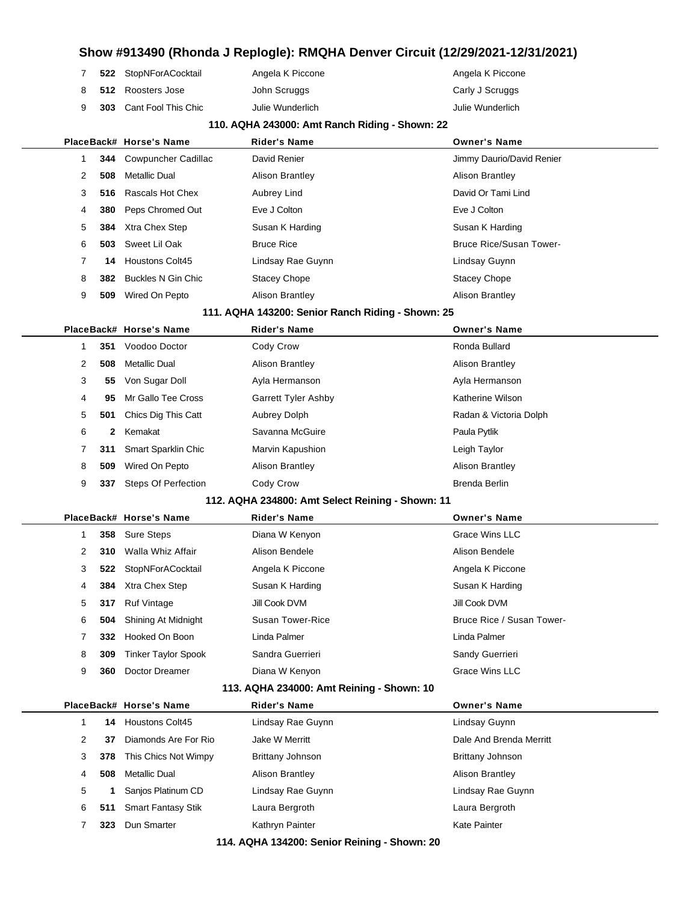|  | 522 StopNForACocktail          | Angela K Piccone | Angela K Piccone |
|--|--------------------------------|------------------|------------------|
|  | 8 512 Roosters Jose            | John Scruggs     | Carly J Scruggs  |
|  | <b>303</b> Cant Fool This Chic | Julie Wunderlich | Julie Wunderlich |

#### **110. AQHA 243000: Amt Ranch Riding - Shown: 22**

|   |     | PlaceBack# Horse's Name    | <b>Rider's Name</b>                               | <b>Owner's Name</b>            |
|---|-----|----------------------------|---------------------------------------------------|--------------------------------|
| 1 | 344 | Cowpuncher Cadillac        | David Renier                                      | Jimmy Daurio/David Renier      |
| 2 | 508 | <b>Metallic Dual</b>       | <b>Alison Brantley</b>                            | <b>Alison Brantley</b>         |
| 3 | 516 | Rascals Hot Chex           | Aubrey Lind                                       | David Or Tami Lind             |
| 4 | 380 | Peps Chromed Out           | Eve J Colton                                      | Eve J Colton                   |
| 5 | 384 | Xtra Chex Step             | Susan K Harding                                   | Susan K Harding                |
| 6 | 503 | Sweet Lil Oak              | <b>Bruce Rice</b>                                 | <b>Bruce Rice/Susan Tower-</b> |
| 7 | 14  | <b>Houstons Colt45</b>     | Lindsay Rae Guynn                                 | Lindsay Guynn                  |
| 8 | 382 | <b>Buckles N Gin Chic</b>  | <b>Stacey Chope</b>                               | <b>Stacey Chope</b>            |
| 9 | 509 | Wired On Pepto             | <b>Alison Brantley</b>                            | <b>Alison Brantley</b>         |
|   |     |                            | 111. AQHA 143200: Senior Ranch Riding - Shown: 25 |                                |
|   |     | PlaceBack# Horse's Name    | <b>Rider's Name</b>                               | <b>Owner's Name</b>            |
| 1 | 351 | Voodoo Doctor              | Cody Crow                                         | Ronda Bullard                  |
| 2 | 508 | <b>Metallic Dual</b>       | <b>Alison Brantley</b>                            | <b>Alison Brantley</b>         |
| 3 | 55  | Von Sugar Doll             | Ayla Hermanson                                    | Ayla Hermanson                 |
| 4 | 95  | Mr Gallo Tee Cross         | <b>Garrett Tyler Ashby</b>                        | Katherine Wilson               |
| 5 | 501 | Chics Dig This Catt        | Aubrey Dolph                                      | Radan & Victoria Dolph         |
| 6 | 2   | Kemakat                    | Savanna McGuire                                   | Paula Pytlik                   |
| 7 | 311 | <b>Smart Sparklin Chic</b> | Marvin Kapushion                                  | Leigh Taylor                   |
| 8 | 509 | Wired On Pepto             | <b>Alison Brantley</b>                            | <b>Alison Brantley</b>         |
| 9 | 337 | <b>Steps Of Perfection</b> | Cody Crow                                         | <b>Brenda Berlin</b>           |

#### **112. AQHA 234800: Amt Select Reining - Shown: 11**

|   |     | PlaceBack# Horse's Name        | <b>Rider's Name</b> | <b>Owner's Name</b>       |
|---|-----|--------------------------------|---------------------|---------------------------|
|   |     | 358 Sure Steps                 | Diana W Kenyon      | Grace Wins LLC            |
| 2 | 310 | Walla Whiz Affair              | Alison Bendele      | Alison Bendele            |
| 3 |     | 522 StopNForACocktail          | Angela K Piccone    | Angela K Piccone          |
| 4 |     | <b>384</b> Xtra Chex Step      | Susan K Harding     | Susan K Harding           |
| 5 | 317 | <b>Ruf Vintage</b>             | Jill Cook DVM       | Jill Cook DVM             |
| 6 |     | <b>504</b> Shining At Midnight | Susan Tower-Rice    | Bruce Rice / Susan Tower- |
|   | 332 | Hooked On Boon                 | Linda Palmer        | Linda Palmer              |
| 8 | 309 | Tinker Taylor Spook            | Sandra Guerrieri    | Sandy Guerrieri           |
| 9 | 360 | Doctor Dreamer                 | Diana W Kenyon      | <b>Grace Wins LLC</b>     |
|   |     |                                |                     |                           |

#### **113. AQHA 234000: Amt Reining - Shown: 10**

|   |     | PlaceBack# Horse's Name   | <b>Rider's Name</b>    | <b>Owner's Name</b>     |  |
|---|-----|---------------------------|------------------------|-------------------------|--|
|   | 14  | <b>Houstons Colt45</b>    | Lindsay Rae Guynn      | Lindsay Guynn           |  |
| 2 | 37  | Diamonds Are For Rio      | Jake W Merritt         | Dale And Brenda Merritt |  |
| 3 | 378 | This Chics Not Wimpy      | Brittany Johnson       | Brittany Johnson        |  |
| 4 | 508 | Metallic Dual             | <b>Alison Brantley</b> | Alison Brantley         |  |
| 5 |     | Sanjos Platinum CD        | Lindsay Rae Guynn      | Lindsay Rae Guynn       |  |
| 6 | 511 | <b>Smart Fantasy Stik</b> | Laura Bergroth         | Laura Bergroth          |  |
|   | 323 | Dun Smarter               | Kathryn Painter        | Kate Painter            |  |
|   |     |                           |                        |                         |  |

**114. AQHA 134200: Senior Reining - Shown: 20**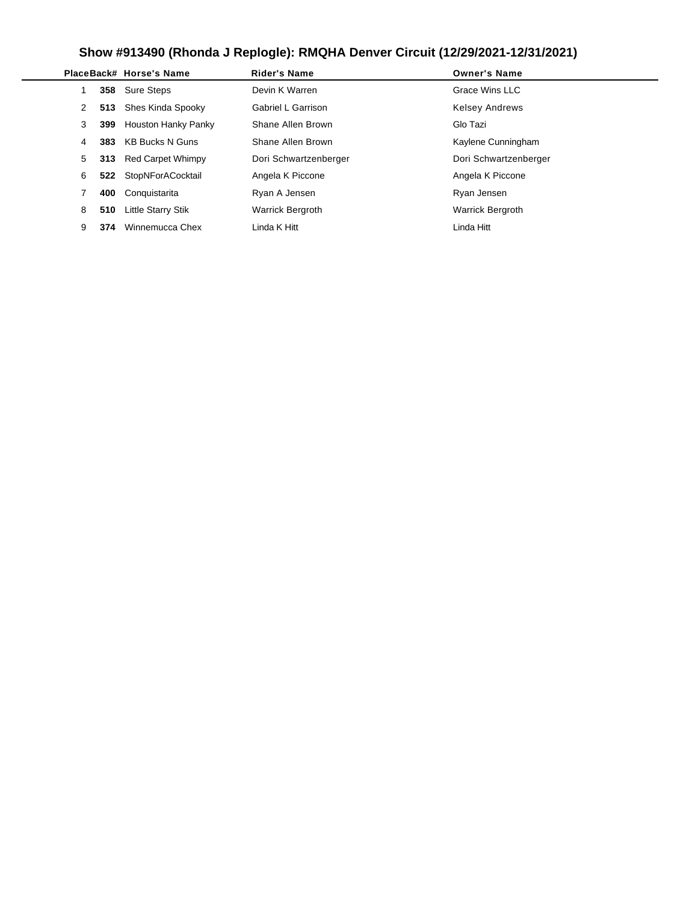|   |     | PlaceBack# Horse's Name   | <b>Rider's Name</b>     | <b>Owner's Name</b>     |
|---|-----|---------------------------|-------------------------|-------------------------|
|   |     | 358 Sure Steps            | Devin K Warren          | Grace Wins LLC          |
| 2 |     | 513 Shes Kinda Spooky     | Gabriel L Garrison      | <b>Kelsey Andrews</b>   |
| 3 | 399 | Houston Hanky Panky       | Shane Allen Brown       | Glo Tazi                |
| 4 | 383 | KB Bucks N Guns           | Shane Allen Brown       | Kaylene Cunningham      |
| 5 |     | 313 Red Carpet Whimpy     | Dori Schwartzenberger   | Dori Schwartzenberger   |
| 6 |     | 522 StopNForACocktail     | Angela K Piccone        | Angela K Piccone        |
|   | 400 | Conquistarita             | Ryan A Jensen           | Ryan Jensen             |
| 8 | 510 | <b>Little Starry Stik</b> | <b>Warrick Bergroth</b> | <b>Warrick Bergroth</b> |
| 9 | 374 | Winnemucca Chex           | Linda K Hitt            | Linda Hitt              |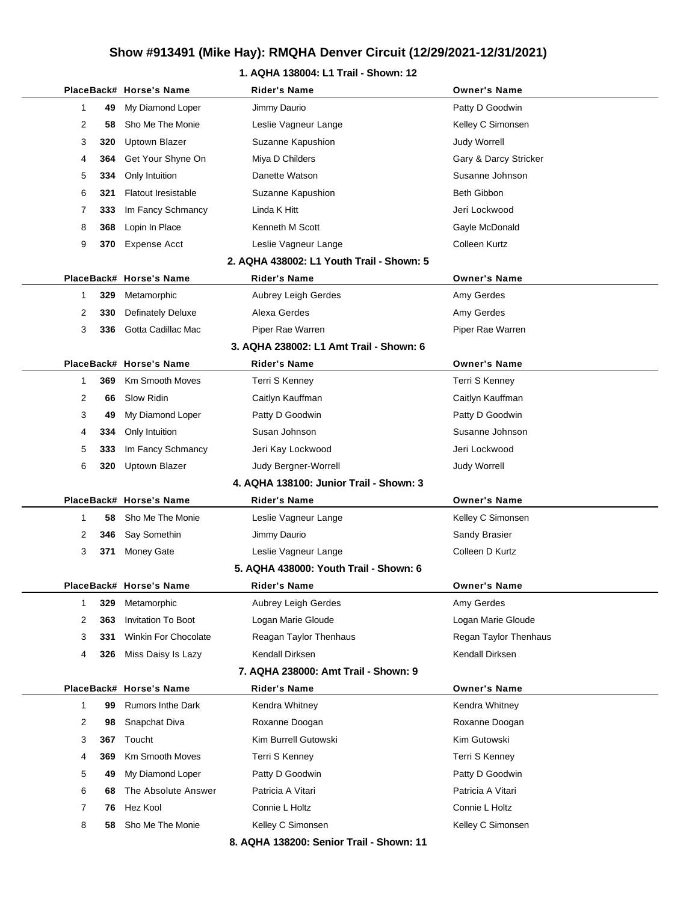## **1. AQHA 138004: L1 Trail - Shown: 12**

|              |     | PlaceBack# Horse's Name    | <b>Rider's Name</b>                       | <b>Owner's Name</b>   |
|--------------|-----|----------------------------|-------------------------------------------|-----------------------|
| 1            | 49  | My Diamond Loper           | Jimmy Daurio                              | Patty D Goodwin       |
| 2            | 58  | Sho Me The Monie           | Leslie Vagneur Lange                      | Kelley C Simonsen     |
| 3            | 320 | Uptown Blazer              | Suzanne Kapushion                         | <b>Judy Worrell</b>   |
| 4            | 364 | Get Your Shyne On          | Miya D Childers                           | Gary & Darcy Stricker |
| 5            | 334 | Only Intuition             | Danette Watson                            | Susanne Johnson       |
| 6            | 321 | <b>Flatout Iresistable</b> | Suzanne Kapushion                         | <b>Beth Gibbon</b>    |
| 7            | 333 | Im Fancy Schmancy          | Linda K Hitt                              | Jeri Lockwood         |
| 8            | 368 | Lopin In Place             | Kenneth M Scott                           | Gayle McDonald        |
| 9            | 370 | Expense Acct               | Leslie Vagneur Lange                      | Colleen Kurtz         |
|              |     |                            | 2. AQHA 438002: L1 Youth Trail - Shown: 5 |                       |
|              |     | PlaceBack# Horse's Name    | <b>Rider's Name</b>                       | <b>Owner's Name</b>   |
| 1            | 329 | Metamorphic                | Aubrey Leigh Gerdes                       | Amy Gerdes            |
| 2            | 330 | <b>Definately Deluxe</b>   | Alexa Gerdes                              | Amy Gerdes            |
| 3            | 336 | Gotta Cadillac Mac         | Piper Rae Warren                          | Piper Rae Warren      |
|              |     |                            | 3. AQHA 238002: L1 Amt Trail - Shown: 6   |                       |
|              |     | PlaceBack# Horse's Name    | <b>Rider's Name</b>                       | <b>Owner's Name</b>   |
| $\mathbf 1$  | 369 | <b>Km Smooth Moves</b>     | Terri S Kenney                            | Terri S Kenney        |
| 2            | 66  | <b>Slow Ridin</b>          | Caitlyn Kauffman                          | Caitlyn Kauffman      |
| 3            | 49  | My Diamond Loper           | Patty D Goodwin                           | Patty D Goodwin       |
| 4            | 334 | Only Intuition             | Susan Johnson                             | Susanne Johnson       |
| 5            | 333 | Im Fancy Schmancy          | Jeri Kay Lockwood                         | Jeri Lockwood         |
| 6            | 320 | <b>Uptown Blazer</b>       | Judy Bergner-Worrell                      | <b>Judy Worrell</b>   |
|              |     |                            | 4. AQHA 138100: Junior Trail - Shown: 3   |                       |
|              |     | PlaceBack# Horse's Name    | <b>Rider's Name</b>                       | <b>Owner's Name</b>   |
| 1            | 58  | Sho Me The Monie           | Leslie Vagneur Lange                      | Kelley C Simonsen     |
| 2            | 346 | Say Somethin               | Jimmy Daurio                              | Sandy Brasier         |
| 3            | 371 | <b>Money Gate</b>          | Leslie Vagneur Lange                      | Colleen D Kurtz       |
|              |     |                            | 5. AQHA 438000: Youth Trail - Shown: 6    |                       |
|              |     | PlaceBack# Horse's Name    | Rider's Name                              | <b>Owner's Name</b>   |
| 1            | 329 | Metamorphic                | Aubrey Leigh Gerdes                       | Amy Gerdes            |
| 2            | 363 | <b>Invitation To Boot</b>  | Logan Marie Gloude                        | Logan Marie Gloude    |
| 3            | 331 | Winkin For Chocolate       | Reagan Taylor Thenhaus                    | Regan Taylor Thenhaus |
| 4            | 326 | Miss Daisy Is Lazy         | Kendall Dirksen                           | Kendall Dirksen       |
|              |     |                            | 7. AQHA 238000: Amt Trail - Shown: 9      |                       |
|              |     | PlaceBack# Horse's Name    | <b>Rider's Name</b>                       | <b>Owner's Name</b>   |
| $\mathbf{1}$ | 99  | <b>Rumors Inthe Dark</b>   | Kendra Whitney                            | Kendra Whitney        |
| 2            | 98  | Snapchat Diva              | Roxanne Doogan                            | Roxanne Doogan        |
| 3            | 367 | Toucht                     | Kim Burrell Gutowski                      | Kim Gutowski          |
| 4            | 369 | <b>Km Smooth Moves</b>     | Terri S Kenney                            | Terri S Kenney        |
| 5            | 49  | My Diamond Loper           | Patty D Goodwin                           | Patty D Goodwin       |
| 6            | 68  | The Absolute Answer        | Patricia A Vitari                         | Patricia A Vitari     |
| 7            | 76  | Hez Kool                   | Connie L Holtz                            | Connie L Holtz        |
| 8            | 58  | Sho Me The Monie           | Kelley C Simonsen                         | Kelley C Simonsen     |
|              |     |                            | 8. AQHA 138200: Senior Trail - Shown: 11  |                       |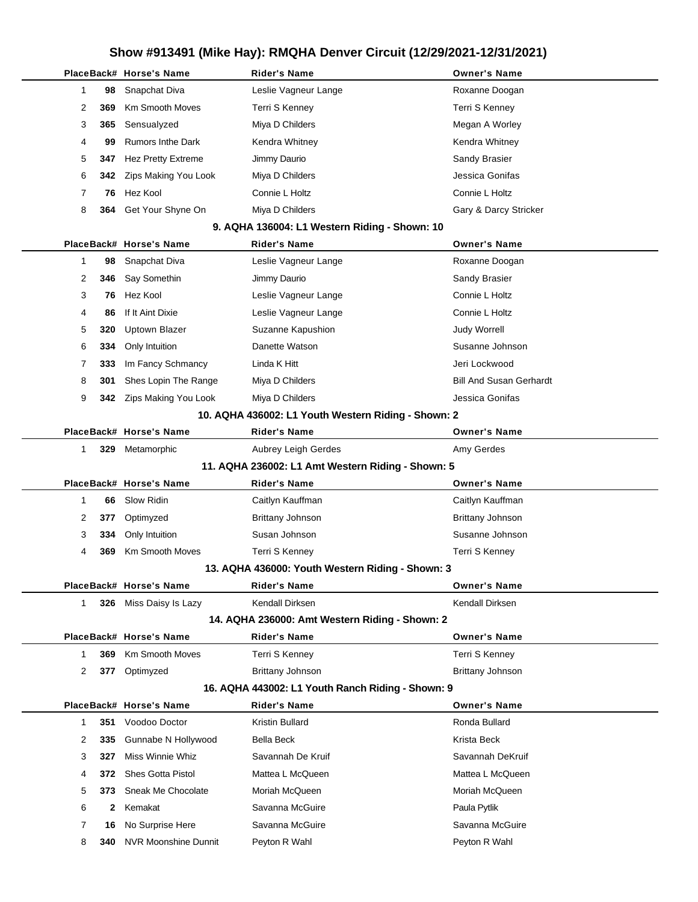|              |           | PlaceBack# Horse's Name                         | <b>Rider's Name</b>                                 | <b>Owner's Name</b>              |
|--------------|-----------|-------------------------------------------------|-----------------------------------------------------|----------------------------------|
| 1            | 98        | Snapchat Diva                                   | Leslie Vagneur Lange                                | Roxanne Doogan                   |
| 2            | 369       | <b>Km Smooth Moves</b>                          | Terri S Kenney                                      | Terri S Kenney                   |
| 3            | 365       | Sensualyzed                                     | Miya D Childers                                     | Megan A Worley                   |
| 4            | 99        | <b>Rumors Inthe Dark</b>                        | Kendra Whitney                                      | Kendra Whitney                   |
| 5            | 347       | Hez Pretty Extreme                              | Jimmy Daurio                                        | Sandy Brasier                    |
| 6            | 342       | Zips Making You Look                            | Miya D Childers                                     | Jessica Gonifas                  |
| 7            | 76        | Hez Kool                                        | Connie L Holtz                                      | Connie L Holtz                   |
| 8            | 364       | Get Your Shyne On                               | Miya D Childers                                     | Gary & Darcy Stricker            |
|              |           |                                                 | 9. AQHA 136004: L1 Western Riding - Shown: 10       |                                  |
|              |           | PlaceBack# Horse's Name                         | <b>Rider's Name</b>                                 | <b>Owner's Name</b>              |
| 1            | 98        | Snapchat Diva                                   | Leslie Vagneur Lange                                | Roxanne Doogan                   |
| 2            | 346       | Say Somethin                                    | Jimmy Daurio                                        | Sandy Brasier                    |
| 3            | 76        | Hez Kool                                        | Leslie Vagneur Lange                                | Connie L Holtz                   |
| 4            | 86        | If It Aint Dixie                                | Leslie Vagneur Lange                                | Connie L Holtz                   |
| 5            | 320       | <b>Uptown Blazer</b>                            | Suzanne Kapushion                                   | <b>Judy Worrell</b>              |
| 6            | 334       | Only Intuition                                  | Danette Watson                                      | Susanne Johnson                  |
| 7            | 333       | Im Fancy Schmancy                               | Linda K Hitt                                        | Jeri Lockwood                    |
| 8            | 301       | Shes Lopin The Range                            | Miya D Childers                                     | <b>Bill And Susan Gerhardt</b>   |
| 9            | 342       | Zips Making You Look                            | Miya D Childers                                     | Jessica Gonifas                  |
|              |           |                                                 | 10. AQHA 436002: L1 Youth Western Riding - Shown: 2 |                                  |
|              |           | PlaceBack# Horse's Name                         | Rider's Name                                        | <b>Owner's Name</b>              |
| 1            | 329       | Metamorphic                                     | Aubrey Leigh Gerdes                                 | Amy Gerdes                       |
|              |           |                                                 | 11. AQHA 236002: L1 Amt Western Riding - Shown: 5   |                                  |
|              |           |                                                 |                                                     |                                  |
|              |           | PlaceBack# Horse's Name                         | <b>Rider's Name</b>                                 | <b>Owner's Name</b>              |
| 1            | 66        | Slow Ridin                                      | Caitlyn Kauffman                                    | Caitlyn Kauffman                 |
| 2            | 377       | Optimyzed                                       | Brittany Johnson                                    | Brittany Johnson                 |
| 3            | 334       | Only Intuition                                  | Susan Johnson                                       | Susanne Johnson                  |
| 4            | 369       | <b>Km Smooth Moves</b>                          | Terri S Kenney                                      | Terri S Kenney                   |
|              |           |                                                 | 13. AQHA 436000: Youth Western Riding - Shown: 3    |                                  |
|              |           | PlaceBack# Horse's Name                         | <b>Rider's Name</b>                                 | <b>Owner's Name</b>              |
| $\mathbf 1$  |           | 326 Miss Daisy Is Lazy                          | Kendall Dirksen                                     | Kendall Dirksen                  |
|              |           |                                                 | 14. AQHA 236000: Amt Western Riding - Shown: 2      |                                  |
|              |           | PlaceBack# Horse's Name                         | <b>Rider's Name</b>                                 | <b>Owner's Name</b>              |
| 1            | 369       | <b>Km Smooth Moves</b>                          | Terri S Kenney                                      | Terri S Kenney                   |
| 2            | 377       | Optimyzed                                       | Brittany Johnson                                    | Brittany Johnson                 |
|              |           |                                                 | 16. AQHA 443002: L1 Youth Ranch Riding - Shown: 9   |                                  |
|              |           | PlaceBack# Horse's Name                         | <b>Rider's Name</b>                                 | <b>Owner's Name</b>              |
| $\mathbf{1}$ | 351       | Voodoo Doctor                                   | <b>Kristin Bullard</b>                              | Ronda Bullard                    |
| 2            | 335       | Gunnabe N Hollywood                             | Bella Beck                                          | Krista Beck                      |
| 3            | 327       | Miss Winnie Whiz                                | Savannah De Kruif                                   | Savannah DeKruif                 |
| 4            | 372       | Shes Gotta Pistol                               | Mattea L McQueen                                    | Mattea L McQueen                 |
| 5            | 373       | Sneak Me Chocolate                              | Moriah McQueen                                      | Moriah McQueen                   |
| 6            | 2         | Kemakat                                         | Savanna McGuire                                     | Paula Pytlik                     |
| 7<br>8       | 16<br>340 | No Surprise Here<br><b>NVR Moonshine Dunnit</b> | Savanna McGuire<br>Peyton R Wahl                    | Savanna McGuire<br>Peyton R Wahl |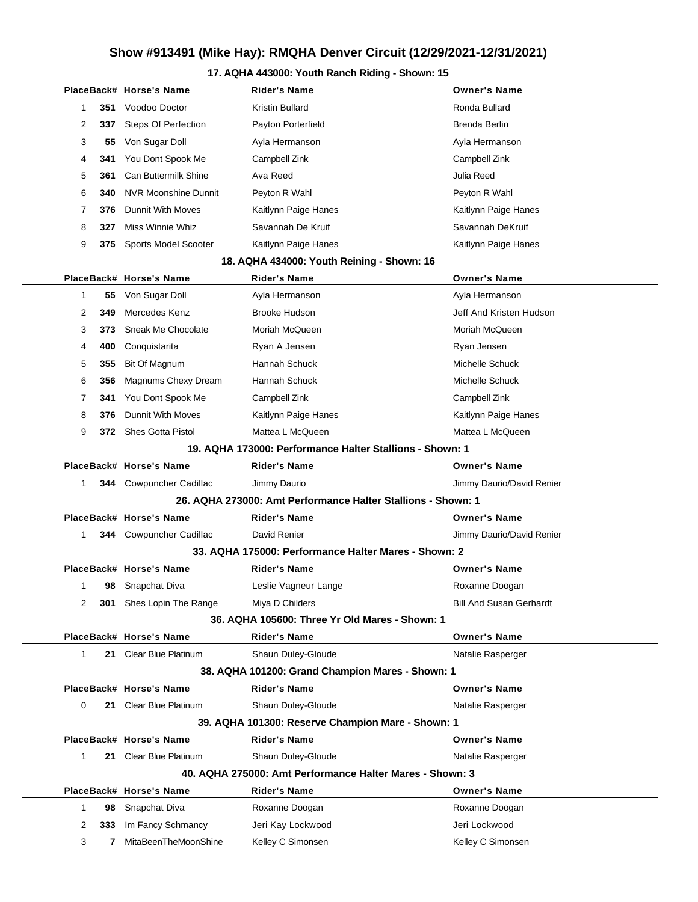#### **17. AQHA 443000: Youth Ranch Riding - Shown: 15**

|              |     | PlaceBack# Horse's Name                              | <b>Rider's Name</b>                                          | <b>Owner's Name</b>            |
|--------------|-----|------------------------------------------------------|--------------------------------------------------------------|--------------------------------|
| 1            | 351 | Voodoo Doctor                                        | Kristin Bullard                                              | Ronda Bullard                  |
| 2            | 337 | Steps Of Perfection                                  | Payton Porterfield                                           | Brenda Berlin                  |
| 3            | 55  | Von Sugar Doll                                       | Ayla Hermanson                                               | Ayla Hermanson                 |
| 4            | 341 | You Dont Spook Me                                    | Campbell Zink                                                | Campbell Zink                  |
| 5            | 361 | <b>Can Buttermilk Shine</b>                          | Ava Reed                                                     | Julia Reed                     |
| 6            | 340 | NVR Moonshine Dunnit                                 | Peyton R Wahl                                                | Peyton R Wahl                  |
| 7            | 376 | Dunnit With Moves                                    | Kaitlynn Paige Hanes                                         | Kaitlynn Paige Hanes           |
| 8            | 327 | Miss Winnie Whiz                                     | Savannah De Kruif                                            | Savannah DeKruif               |
| 9            | 375 | Sports Model Scooter                                 | Kaitlynn Paige Hanes                                         | Kaitlynn Paige Hanes           |
|              |     |                                                      | 18. AQHA 434000: Youth Reining - Shown: 16                   |                                |
|              |     | PlaceBack# Horse's Name                              | <b>Rider's Name</b>                                          | <b>Owner's Name</b>            |
| 1            | 55  | Von Sugar Doll                                       | Ayla Hermanson                                               | Ayla Hermanson                 |
| 2            | 349 | Mercedes Kenz                                        | <b>Brooke Hudson</b>                                         | Jeff And Kristen Hudson        |
| 3            | 373 | Sneak Me Chocolate                                   | Moriah McQueen                                               | Moriah McQueen                 |
| 4            | 400 | Conquistarita                                        | Ryan A Jensen                                                | Ryan Jensen                    |
| 5            | 355 | Bit Of Magnum                                        | Hannah Schuck                                                | Michelle Schuck                |
| 6            | 356 | Magnums Chexy Dream                                  | Hannah Schuck                                                | Michelle Schuck                |
| 7            | 341 | You Dont Spook Me                                    | Campbell Zink                                                | Campbell Zink                  |
| 8            | 376 | Dunnit With Moves                                    | Kaitlynn Paige Hanes                                         | Kaitlynn Paige Hanes           |
| 9            |     | 372 Shes Gotta Pistol                                | Mattea L McQueen                                             | Mattea L McQueen               |
|              |     |                                                      | 19. AQHA 173000: Performance Halter Stallions - Shown: 1     |                                |
|              |     | PlaceBack# Horse's Name                              | <b>Rider's Name</b>                                          | <b>Owner's Name</b>            |
| $\mathbf{1}$ |     | <b>344</b> Cowpuncher Cadillac                       | Jimmy Daurio                                                 | Jimmy Daurio/David Renier      |
|              |     |                                                      | 26. AQHA 273000: Amt Performance Halter Stallions - Shown: 1 |                                |
|              |     | PlaceBack# Horse's Name                              | Rider's Name                                                 | <b>Owner's Name</b>            |
| 1            |     | <b>344</b> Cowpuncher Cadillac                       | David Renier                                                 | Jimmy Daurio/David Renier      |
|              |     | 33. AQHA 175000: Performance Halter Mares - Shown: 2 |                                                              |                                |
|              |     | PlaceBack# Horse's Name                              | Rider's Name                                                 | <b>Owner's Name</b>            |
| 1            | 98  | Snapchat Diva                                        | Leslie Vagneur Lange                                         | Roxanne Doogan                 |
| 2            | 301 | Shes Lopin The Range                                 | Miya D Childers                                              | <b>Bill And Susan Gerhardt</b> |
|              |     |                                                      | 36. AQHA 105600: Three Yr Old Mares - Shown: 1               |                                |
|              |     | PlaceBack# Horse's Name                              | <b>Rider's Name</b>                                          | <b>Owner's Name</b>            |
| 1            |     | 21 Clear Blue Platinum                               | Shaun Duley-Gloude                                           | Natalie Rasperger              |
|              |     |                                                      | 38. AQHA 101200: Grand Champion Mares - Shown: 1             |                                |
|              |     | PlaceBack# Horse's Name                              | <b>Rider's Name</b>                                          | <b>Owner's Name</b>            |
| 0            |     | 21 Clear Blue Platinum                               | Shaun Duley-Gloude                                           | Natalie Rasperger              |
|              |     |                                                      | 39. AQHA 101300: Reserve Champion Mare - Shown: 1            |                                |
|              |     | PlaceBack# Horse's Name                              | <b>Rider's Name</b>                                          | <b>Owner's Name</b>            |
| 1            |     | 21 Clear Blue Platinum                               | Shaun Duley-Gloude                                           | Natalie Rasperger              |
|              |     |                                                      | 40. AQHA 275000: Amt Performance Halter Mares - Shown: 3     |                                |
|              |     | PlaceBack# Horse's Name                              | <b>Rider's Name</b>                                          | <b>Owner's Name</b>            |
| 1            | 98  | Snapchat Diva                                        | Roxanne Doogan                                               | Roxanne Doogan                 |
| 2            | 333 | Im Fancy Schmancy                                    | Jeri Kay Lockwood                                            | Jeri Lockwood                  |
| 3            | 7   | MitaBeenTheMoonShine                                 | Kelley C Simonsen                                            | Kelley C Simonsen              |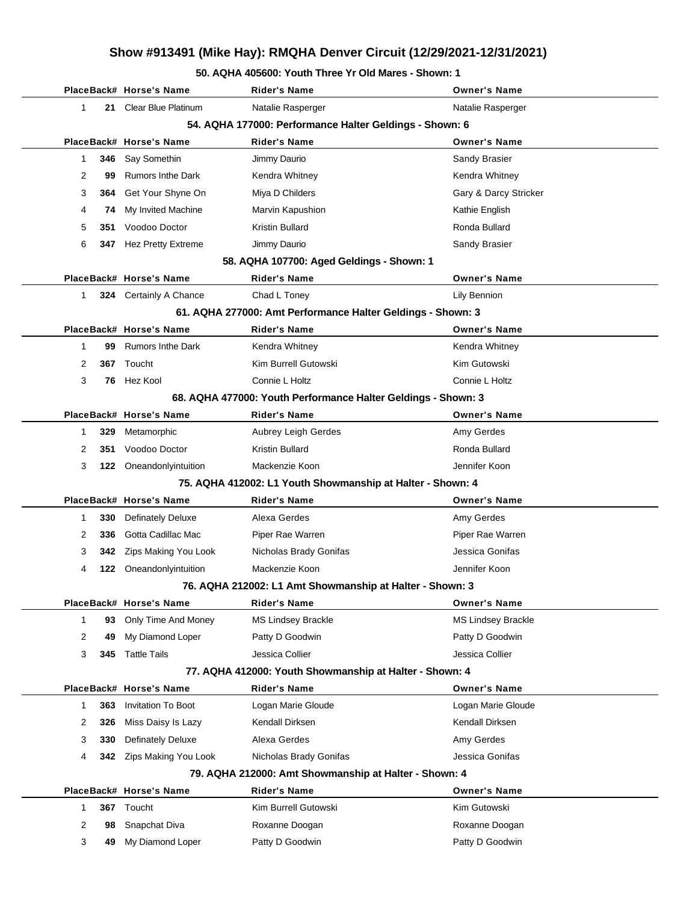#### **50. AQHA 405600: Youth Three Yr Old Mares - Shown: 1**

|   |     | PlaceBack# Horse's Name                                  | <b>Rider's Name</b>                                           | <b>Owner's Name</b>       |
|---|-----|----------------------------------------------------------|---------------------------------------------------------------|---------------------------|
| 1 | 21  | <b>Clear Blue Platinum</b>                               | Natalie Rasperger                                             | Natalie Rasperger         |
|   |     |                                                          | 54. AQHA 177000: Performance Halter Geldings - Shown: 6       |                           |
|   |     | PlaceBack# Horse's Name                                  | <b>Rider's Name</b>                                           | <b>Owner's Name</b>       |
| 1 | 346 | Say Somethin                                             | Jimmy Daurio                                                  | Sandy Brasier             |
| 2 | 99  | <b>Rumors Inthe Dark</b>                                 | Kendra Whitney                                                | Kendra Whitney            |
| 3 | 364 | Get Your Shyne On                                        | Miya D Childers                                               | Gary & Darcy Stricker     |
| 4 | 74  | My Invited Machine                                       | Marvin Kapushion                                              | Kathie English            |
| 5 | 351 | Voodoo Doctor                                            | <b>Kristin Bullard</b>                                        | Ronda Bullard             |
| 6 | 347 | <b>Hez Pretty Extreme</b>                                | Jimmy Daurio                                                  | Sandy Brasier             |
|   |     |                                                          | 58. AQHA 107700: Aged Geldings - Shown: 1                     |                           |
|   |     | PlaceBack# Horse's Name                                  | <b>Rider's Name</b>                                           | <b>Owner's Name</b>       |
| 1 |     | 324 Certainly A Chance                                   | Chad L Toney                                                  | Lily Bennion              |
|   |     |                                                          | 61. AQHA 277000: Amt Performance Halter Geldings - Shown: 3   |                           |
|   |     | PlaceBack# Horse's Name                                  | <b>Rider's Name</b>                                           | <b>Owner's Name</b>       |
| 1 | 99  | <b>Rumors Inthe Dark</b>                                 | Kendra Whitney                                                | Kendra Whitney            |
| 2 | 367 | Toucht                                                   | Kim Burrell Gutowski                                          | Kim Gutowski              |
| 3 | 76  | Hez Kool                                                 | Connie L Holtz                                                | Connie L Holtz            |
|   |     |                                                          | 68. AQHA 477000: Youth Performance Halter Geldings - Shown: 3 |                           |
|   |     | PlaceBack# Horse's Name                                  | <b>Rider's Name</b>                                           | <b>Owner's Name</b>       |
| 1 | 329 | Metamorphic                                              | Aubrey Leigh Gerdes                                           | Amy Gerdes                |
| 2 | 351 | Voodoo Doctor                                            | <b>Kristin Bullard</b>                                        | Ronda Bullard             |
| 3 | 122 | Oneandonlyintuition                                      | Mackenzie Koon                                                | Jennifer Koon             |
|   |     |                                                          | 75. AQHA 412002: L1 Youth Showmanship at Halter - Shown: 4    |                           |
|   |     | PlaceBack# Horse's Name                                  | <b>Rider's Name</b>                                           | <b>Owner's Name</b>       |
| 1 | 330 | <b>Definately Deluxe</b>                                 | Alexa Gerdes                                                  | Amy Gerdes                |
| 2 | 336 | Gotta Cadillac Mac                                       | Piper Rae Warren                                              | Piper Rae Warren          |
| 3 | 342 | Zips Making You Look                                     | Nicholas Brady Gonifas                                        | Jessica Gonifas           |
| 4 | 122 | Oneandonlyintuition                                      | Mackenzie Koon                                                | Jennifer Koon             |
|   |     | 76. AQHA 212002: L1 Amt Showmanship at Halter - Shown: 3 |                                                               |                           |
|   |     | PlaceBack# Horse's Name                                  | <b>Rider's Name</b>                                           | <b>Owner's Name</b>       |
| 1 | 93  | Only Time And Money                                      | MS Lindsey Brackle                                            | <b>MS Lindsey Brackle</b> |
| 2 | 49  | My Diamond Loper                                         | Patty D Goodwin                                               | Patty D Goodwin           |
| 3 | 345 | <b>Tattle Tails</b>                                      | Jessica Collier                                               | Jessica Collier           |
|   |     |                                                          | 77. AQHA 412000: Youth Showmanship at Halter - Shown: 4       |                           |
|   |     | PlaceBack# Horse's Name                                  | Rider's Name                                                  | <b>Owner's Name</b>       |
| 1 | 363 | <b>Invitation To Boot</b>                                | Logan Marie Gloude                                            | Logan Marie Gloude        |
| 2 | 326 | Miss Daisy Is Lazy                                       | Kendall Dirksen                                               | Kendall Dirksen           |
| 3 | 330 | <b>Definately Deluxe</b>                                 | Alexa Gerdes                                                  | Amy Gerdes                |
| 4 | 342 | Zips Making You Look                                     | Nicholas Brady Gonifas                                        | Jessica Gonifas           |
|   |     |                                                          | 79. AQHA 212000: Amt Showmanship at Halter - Shown: 4         |                           |
|   |     | PlaceBack# Horse's Name                                  | <b>Rider's Name</b>                                           | <b>Owner's Name</b>       |
| 1 | 367 | Toucht                                                   | Kim Burrell Gutowski                                          | Kim Gutowski              |
| 2 | 98  | Snapchat Diva                                            | Roxanne Doogan                                                | Roxanne Doogan            |
| 3 | 49  | My Diamond Loper                                         | Patty D Goodwin                                               | Patty D Goodwin           |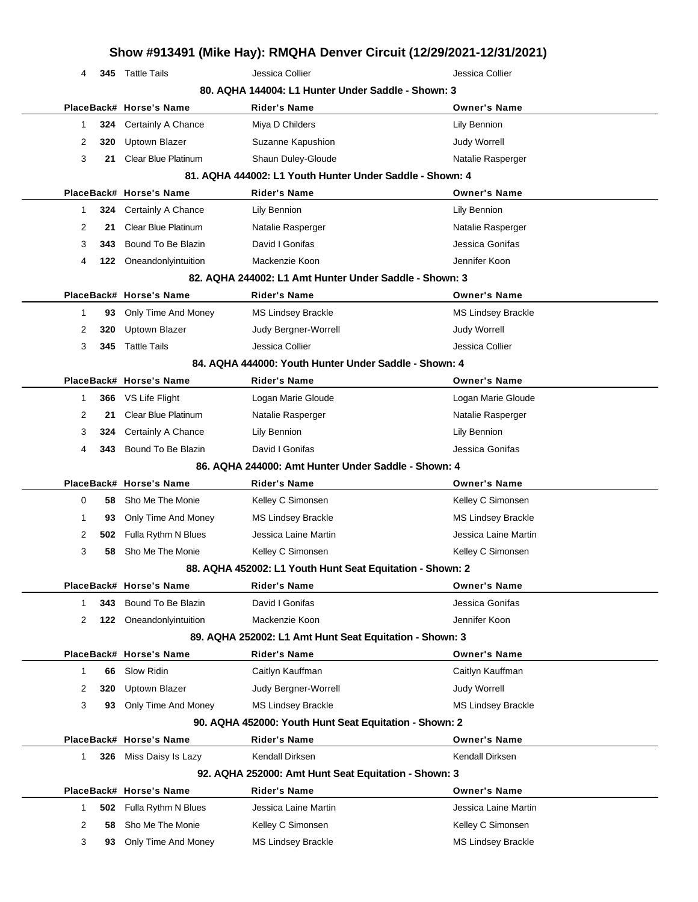|              |      |                            |                                                           | Show #913491 (Mike Hay): RMQHA Denver Circuit (12/29/2021-12/31/2021) |
|--------------|------|----------------------------|-----------------------------------------------------------|-----------------------------------------------------------------------|
| 4            |      | 345 Tattle Tails           | Jessica Collier                                           | Jessica Collier                                                       |
|              |      |                            | 80. AQHA 144004: L1 Hunter Under Saddle - Shown: 3        |                                                                       |
|              |      | PlaceBack# Horse's Name    | <b>Rider's Name</b>                                       | <b>Owner's Name</b>                                                   |
| 1            | 324  | Certainly A Chance         | Miya D Childers                                           | Lily Bennion                                                          |
| 2            | 320  | Uptown Blazer              | Suzanne Kapushion                                         | <b>Judy Worrell</b>                                                   |
| 3            | 21   | <b>Clear Blue Platinum</b> | Shaun Duley-Gloude                                        | Natalie Rasperger                                                     |
|              |      |                            | 81. AQHA 444002: L1 Youth Hunter Under Saddle - Shown: 4  |                                                                       |
|              |      | PlaceBack# Horse's Name    | Rider's Name                                              | <b>Owner's Name</b>                                                   |
| 1            | 324  | Certainly A Chance         | Lily Bennion                                              | Lily Bennion                                                          |
| 2            | 21   | <b>Clear Blue Platinum</b> | Natalie Rasperger                                         | Natalie Rasperger                                                     |
| 3            | 343. | Bound To Be Blazin         | David I Gonifas                                           | Jessica Gonifas                                                       |
| 4            | 122  | Oneandonlyintuition        | Mackenzie Koon                                            | Jennifer Koon                                                         |
|              |      |                            | 82. AQHA 244002: L1 Amt Hunter Under Saddle - Shown: 3    |                                                                       |
|              |      | PlaceBack# Horse's Name    | <b>Rider's Name</b>                                       | <b>Owner's Name</b>                                                   |
| 1            | 93   | Only Time And Money        | <b>MS Lindsey Brackle</b>                                 | <b>MS Lindsey Brackle</b>                                             |
| 2            | 320  | Uptown Blazer              | Judy Bergner-Worrell                                      | <b>Judy Worrell</b>                                                   |
| 3            | 345  | <b>Tattle Tails</b>        | Jessica Collier                                           | Jessica Collier                                                       |
|              |      |                            | 84. AQHA 444000: Youth Hunter Under Saddle - Shown: 4     |                                                                       |
|              |      | PlaceBack# Horse's Name    | Rider's Name                                              | <b>Owner's Name</b>                                                   |
| 1            | 366  | VS Life Flight             | Logan Marie Gloude                                        | Logan Marie Gloude                                                    |
| 2            | 21   | <b>Clear Blue Platinum</b> | Natalie Rasperger                                         | Natalie Rasperger                                                     |
| 3            | 324  | Certainly A Chance         | Lily Bennion                                              | Lily Bennion                                                          |
| 4            | 343. | Bound To Be Blazin         | David I Gonifas                                           | Jessica Gonifas                                                       |
|              |      |                            | 86. AQHA 244000: Amt Hunter Under Saddle - Shown: 4       |                                                                       |
|              |      | PlaceBack# Horse's Name    | Rider's Name                                              | <b>Owner's Name</b>                                                   |
| 0            | 58   | Sho Me The Monie           | Kelley C Simonsen                                         | Kelley C Simonsen                                                     |
| 1            | 93   | Only Time And Money        | <b>MS Lindsey Brackle</b>                                 | <b>MS Lindsey Brackle</b>                                             |
| 2            | 502  | Fulla Rythm N Blues        | Jessica Laine Martin                                      | Jessica Laine Martin                                                  |
| 3            | 58   | Sho Me The Monie           | Kelley C Simonsen                                         | Kelley C Simonsen                                                     |
|              |      |                            | 88. AQHA 452002: L1 Youth Hunt Seat Equitation - Shown: 2 |                                                                       |
|              |      | PlaceBack# Horse's Name    | <b>Rider's Name</b>                                       | <b>Owner's Name</b>                                                   |
| 1            | 343  | Bound To Be Blazin         | David I Gonifas                                           | Jessica Gonifas                                                       |
| 2            |      | 122 Oneandonlyintuition    | Mackenzie Koon                                            | Jennifer Koon                                                         |
|              |      |                            | 89. AQHA 252002: L1 Amt Hunt Seat Equitation - Shown: 3   |                                                                       |
|              |      | PlaceBack# Horse's Name    | <b>Rider's Name</b>                                       | <b>Owner's Name</b>                                                   |
| 1            | 66   | Slow Ridin                 | Caitlyn Kauffman                                          | Caitlyn Kauffman                                                      |
| 2            | 320  | Uptown Blazer              | Judy Bergner-Worrell                                      | <b>Judy Worrell</b>                                                   |
| 3            | 93   | Only Time And Money        | <b>MS Lindsey Brackle</b>                                 | <b>MS Lindsey Brackle</b>                                             |
|              |      |                            | 90. AQHA 452000: Youth Hunt Seat Equitation - Shown: 2    |                                                                       |
|              |      | PlaceBack# Horse's Name    | <b>Rider's Name</b>                                       | <b>Owner's Name</b>                                                   |
| $\mathbf{1}$ |      | 326 Miss Daisy Is Lazy     | Kendall Dirksen                                           | Kendall Dirksen                                                       |
|              |      |                            | 92. AQHA 252000: Amt Hunt Seat Equitation - Shown: 3      |                                                                       |
|              |      | PlaceBack# Horse's Name    | <b>Rider's Name</b>                                       | <b>Owner's Name</b>                                                   |
| 1            | 502  | Fulla Rythm N Blues        | Jessica Laine Martin                                      | Jessica Laine Martin                                                  |
| 2            | 58   | Sho Me The Monie           | Kelley C Simonsen                                         | Kelley C Simonsen                                                     |
| 3            | 93   | Only Time And Money        | <b>MS Lindsey Brackle</b>                                 | <b>MS Lindsey Brackle</b>                                             |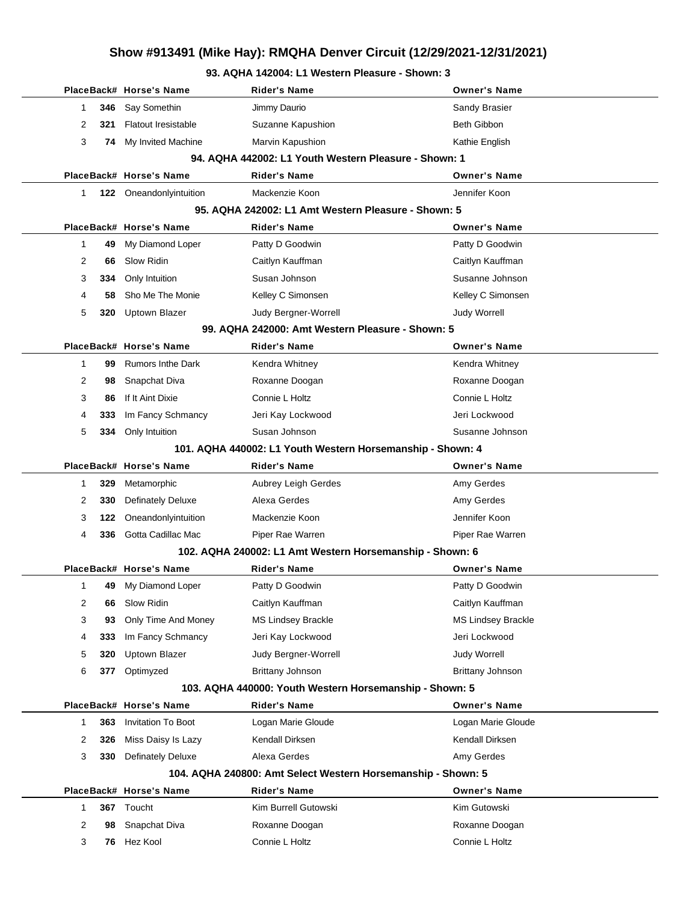#### **93. AQHA 142004: L1 Western Pleasure - Shown: 3**

|              |     | PlaceBack# Horse's Name    | <b>Rider's Name</b>                                          | <b>Owner's Name</b> |
|--------------|-----|----------------------------|--------------------------------------------------------------|---------------------|
| 1            | 346 | Say Somethin               | Jimmy Daurio                                                 | Sandy Brasier       |
| 2            | 321 | <b>Flatout Iresistable</b> | Suzanne Kapushion                                            | Beth Gibbon         |
| 3            |     | 74 My Invited Machine      | Marvin Kapushion                                             | Kathie English      |
|              |     |                            | 94. AQHA 442002: L1 Youth Western Pleasure - Shown: 1        |                     |
|              |     | PlaceBack# Horse's Name    | <b>Rider's Name</b>                                          | <b>Owner's Name</b> |
| $\mathbf{1}$ |     | 122 Oneandonlyintuition    | Mackenzie Koon                                               | Jennifer Koon       |
|              |     |                            | 95. AQHA 242002: L1 Amt Western Pleasure - Shown: 5          |                     |
|              |     | PlaceBack# Horse's Name    | Rider's Name                                                 | <b>Owner's Name</b> |
| $\mathbf 1$  | 49  | My Diamond Loper           | Patty D Goodwin                                              | Patty D Goodwin     |
| 2            | 66  | Slow Ridin                 | Caitlyn Kauffman                                             | Caitlyn Kauffman    |
| 3            | 334 | Only Intuition             | Susan Johnson                                                | Susanne Johnson     |
| 4            | 58  | Sho Me The Monie           | Kelley C Simonsen                                            | Kelley C Simonsen   |
| 5            | 320 | <b>Uptown Blazer</b>       | Judy Bergner-Worrell                                         | <b>Judy Worrell</b> |
|              |     |                            | 99. AQHA 242000: Amt Western Pleasure - Shown: 5             |                     |
|              |     | PlaceBack# Horse's Name    | Rider's Name                                                 | <b>Owner's Name</b> |
| $\mathbf 1$  | 99  | <b>Rumors Inthe Dark</b>   | Kendra Whitney                                               | Kendra Whitney      |
| 2            | 98  | Snapchat Diva              | Roxanne Doogan                                               | Roxanne Doogan      |
| 3            | 86  | If It Aint Dixie           | Connie L Holtz                                               | Connie L Holtz      |
| 4            | 333 | Im Fancy Schmancy          | Jeri Kay Lockwood                                            | Jeri Lockwood       |
| 5            | 334 | Only Intuition             | Susan Johnson                                                | Susanne Johnson     |
|              |     |                            | 101. AQHA 440002: L1 Youth Western Horsemanship - Shown: 4   |                     |
|              |     | PlaceBack# Horse's Name    | <b>Rider's Name</b>                                          | <b>Owner's Name</b> |
| 1            | 329 | Metamorphic                | Aubrey Leigh Gerdes                                          | Amy Gerdes          |
| 2            | 330 | <b>Definately Deluxe</b>   | Alexa Gerdes                                                 | Amy Gerdes          |
| 3            | 122 | Oneandonlyintuition        | Mackenzie Koon                                               | Jennifer Koon       |
| 4            | 336 | Gotta Cadillac Mac         | Piper Rae Warren                                             | Piper Rae Warren    |
|              |     |                            | 102. AQHA 240002: L1 Amt Western Horsemanship - Shown: 6     |                     |
|              |     | PlaceBack# Horse's Name    | <b>Rider's Name</b>                                          | <b>Owner's Name</b> |
| 1            | 49  | My Diamond Loper           | Patty D Goodwin                                              | Patty D Goodwin     |
| 2            | 66  | Slow Ridin                 | Caitlyn Kauffman                                             | Caitlyn Kauffman    |
| 3            | 93  | Only Time And Money        | <b>MS Lindsey Brackle</b>                                    | MS Lindsey Brackle  |
| 4            | 333 | Im Fancy Schmancy          | Jeri Kay Lockwood                                            | Jeri Lockwood       |
| 5            | 320 | Uptown Blazer              | Judy Bergner-Worrell                                         | <b>Judy Worrell</b> |
| 6            | 377 | Optimyzed                  | <b>Brittany Johnson</b>                                      | Brittany Johnson    |
|              |     |                            | 103. AQHA 440000: Youth Western Horsemanship - Shown: 5      |                     |
|              |     | PlaceBack# Horse's Name    | <b>Rider's Name</b>                                          | <b>Owner's Name</b> |
| 1            | 363 | <b>Invitation To Boot</b>  | Logan Marie Gloude                                           | Logan Marie Gloude  |
| 2            | 326 | Miss Daisy Is Lazy         | Kendall Dirksen                                              | Kendall Dirksen     |
| 3            | 330 | <b>Definately Deluxe</b>   | Alexa Gerdes                                                 | Amy Gerdes          |
|              |     |                            | 104. AQHA 240800: Amt Select Western Horsemanship - Shown: 5 |                     |
|              |     | PlaceBack# Horse's Name    | Rider's Name                                                 | <b>Owner's Name</b> |
| 1            |     | 367 Toucht                 | Kim Burrell Gutowski                                         | Kim Gutowski        |
| 2            | 98  | Snapchat Diva              | Roxanne Doogan                                               | Roxanne Doogan      |
| 3            | 76  | Hez Kool                   | Connie L Holtz                                               | Connie L Holtz      |
|              |     |                            |                                                              |                     |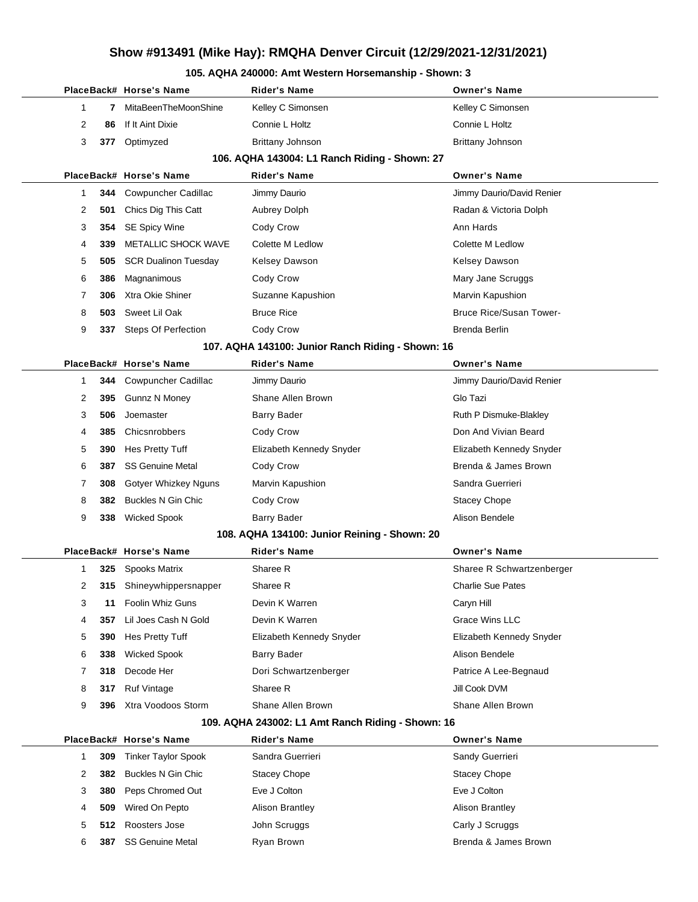#### **105. AQHA 240000: Amt Western Horsemanship - Shown: 3**

|                |     | PlaceBack# Horse's Name     | Rider's Name                                      | <b>Owner's Name</b>            |
|----------------|-----|-----------------------------|---------------------------------------------------|--------------------------------|
| $\mathbf 1$    | 7   | MitaBeenTheMoonShine        | Kelley C Simonsen                                 | Kelley C Simonsen              |
| $\overline{2}$ | 86  | If It Aint Dixie            | Connie L Holtz                                    | Connie L Holtz                 |
| 3              | 377 | Optimyzed                   | Brittany Johnson                                  | <b>Brittany Johnson</b>        |
|                |     |                             | 106. AQHA 143004: L1 Ranch Riding - Shown: 27     |                                |
|                |     | PlaceBack# Horse's Name     | <b>Rider's Name</b>                               | <b>Owner's Name</b>            |
| -1             |     | 344 Cowpuncher Cadillac     | Jimmy Daurio                                      | Jimmy Daurio/David Renier      |
| 2              | 501 | Chics Dig This Catt         | <b>Aubrey Dolph</b>                               | Radan & Victoria Dolph         |
| 3              | 354 | <b>SE Spicy Wine</b>        | Cody Crow                                         | Ann Hards                      |
| 4              | 339 | METALLIC SHOCK WAVE         | Colette M Ledlow                                  | Colette M Ledlow               |
| 5              | 505 | <b>SCR Dualinon Tuesday</b> | <b>Kelsey Dawson</b>                              | Kelsey Dawson                  |
| 6              | 386 | Magnanimous                 | Cody Crow                                         | Mary Jane Scruggs              |
| 7              | 306 | Xtra Okie Shiner            | Suzanne Kapushion                                 | Marvin Kapushion               |
| 8              | 503 | Sweet Lil Oak               | <b>Bruce Rice</b>                                 | <b>Bruce Rice/Susan Tower-</b> |
| 9              | 337 | <b>Steps Of Perfection</b>  | Cody Crow                                         | Brenda Berlin                  |
|                |     |                             | 107. AQHA 143100: Junior Ranch Riding - Shown: 16 |                                |
|                |     | PlaceBack# Horse's Name     | <b>Rider's Name</b>                               | <b>Owner's Name</b>            |
| -1             |     | 344 Cowpuncher Cadillac     | Jimmy Daurio                                      | Jimmy Daurio/David Renier      |
| 2              | 395 | <b>Gunnz N Money</b>        | Shane Allen Brown                                 | Glo Tazi                       |
| 3              | 506 | Joemaster                   | <b>Barry Bader</b>                                | Ruth P Dismuke-Blakley         |
| 4              | 385 | Chicsnrobbers               | Cody Crow                                         | Don And Vivian Beard           |
| 5              | 390 | Hes Pretty Tuff             | Elizabeth Kennedy Snyder                          | Elizabeth Kennedy Snyder       |
| 6              | 387 | <b>SS Genuine Metal</b>     | Cody Crow                                         | Brenda & James Brown           |
| 7              | 308 | Gotyer Whizkey Nguns        | Marvin Kapushion                                  | Sandra Guerrieri               |
| 8              | 382 | <b>Buckles N Gin Chic</b>   | Cody Crow                                         | Stacey Chope                   |
| 9              | 338 | <b>Wicked Spook</b>         | <b>Barry Bader</b>                                | Alison Bendele                 |
|                |     |                             | 108. AQHA 134100: Junior Reining - Shown: 20      |                                |
|                |     | PlaceBack# Horse's Name     | <b>Rider's Name</b>                               | <b>Owner's Name</b>            |
| -1             | 325 | Spooks Matrix               | Sharee R                                          | Sharee R Schwartzenberger      |
| 2              |     | 315 Shineywhippersnapper    | Sharee R                                          | <b>Charlie Sue Pates</b>       |
| 3              | 11  | Foolin Whiz Guns            | Devin K Warren                                    | Caryn Hill                     |
| 4              | 357 | Lil Joes Cash N Gold        | Devin K Warren                                    | <b>Grace Wins LLC</b>          |
| 5              | 390 | Hes Pretty Tuff             | Elizabeth Kennedy Snyder                          | Elizabeth Kennedy Snyder       |
| 6              | 338 | <b>Wicked Spook</b>         | Barry Bader                                       | Alison Bendele                 |
| 7              | 318 | Decode Her                  | Dori Schwartzenberger                             | Patrice A Lee-Begnaud          |
| 8              | 317 | <b>Ruf Vintage</b>          | Sharee R                                          | Jill Cook DVM                  |
| 9              | 396 | Xtra Voodoos Storm          | Shane Allen Brown                                 | Shane Allen Brown              |
|                |     |                             | 109. AQHA 243002: L1 Amt Ranch Riding - Shown: 16 |                                |
|                |     | PlaceBack# Horse's Name     | <b>Rider's Name</b>                               | <b>Owner's Name</b>            |
| 1              | 309 | <b>Tinker Taylor Spook</b>  | Sandra Guerrieri                                  | Sandy Guerrieri                |
| 2              | 382 | <b>Buckles N Gin Chic</b>   | <b>Stacey Chope</b>                               | <b>Stacey Chope</b>            |
| 3              | 380 | Peps Chromed Out            | Eve J Colton                                      | Eve J Colton                   |
| 4              | 509 | Wired On Pepto              | <b>Alison Brantley</b>                            | <b>Alison Brantley</b>         |
| 5              | 512 | Roosters Jose               | John Scruggs                                      | Carly J Scruggs                |
| 6              | 387 | <b>SS Genuine Metal</b>     | Ryan Brown                                        | Brenda & James Brown           |
|                |     |                             |                                                   |                                |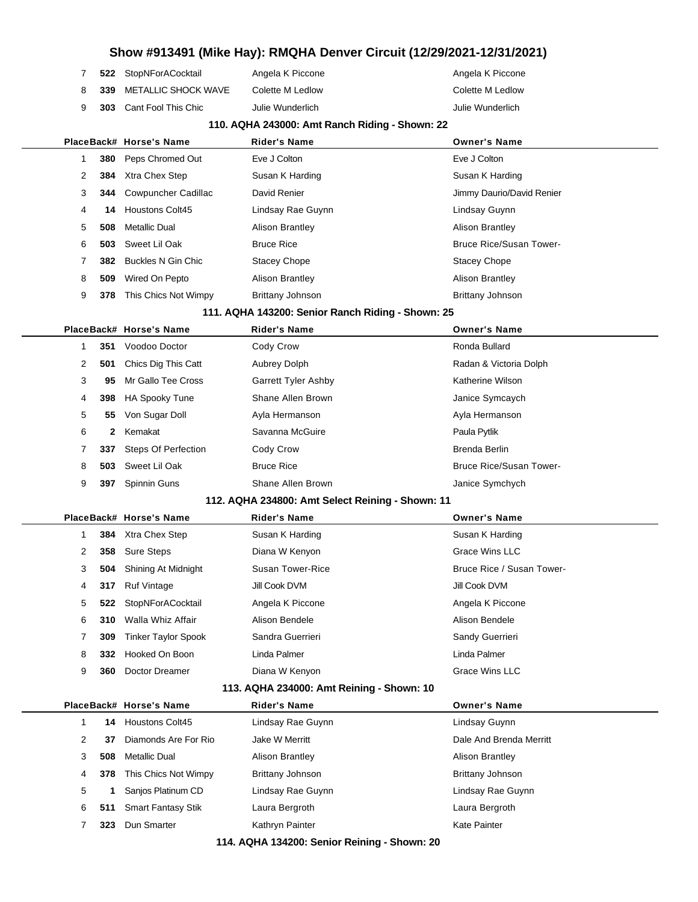|  | 522 StopNForACocktail            | Angela K Piccone | Angela K Piccone |
|--|----------------------------------|------------------|------------------|
|  | 8 <b>339</b> METALLIC SHOCK WAVE | Colette M Ledlow | Colette M Ledlow |
|  | 9 303 Cant Fool This Chic        | Julie Wunderlich | Julie Wunderlich |

#### **110. AQHA 243000: Amt Ranch Riding - Shown: 22**

|                                                   |     | PlaceBack# Horse's Name        | <b>Rider's Name</b>     | <b>Owner's Name</b>            |  |  |
|---------------------------------------------------|-----|--------------------------------|-------------------------|--------------------------------|--|--|
|                                                   |     | 380 Peps Chromed Out           | Eve J Colton            | Eve J Colton                   |  |  |
| 2                                                 | 384 | Xtra Chex Step                 | Susan K Harding         | Susan K Harding                |  |  |
| 3                                                 |     | <b>344</b> Cowpuncher Cadillac | David Renier            | Jimmy Daurio/David Renier      |  |  |
| 4                                                 | 14  | <b>Houstons Colt45</b>         | Lindsay Rae Guynn       | Lindsay Guynn                  |  |  |
| 5                                                 | 508 | Metallic Dual                  | Alison Brantley         | <b>Alison Brantley</b>         |  |  |
| 6                                                 | 503 | Sweet Lil Oak                  | <b>Bruce Rice</b>       | <b>Bruce Rice/Susan Tower-</b> |  |  |
|                                                   | 382 | Buckles N Gin Chic             | <b>Stacey Chope</b>     | Stacey Chope                   |  |  |
| 8                                                 | 509 | Wired On Pepto                 | <b>Alison Brantley</b>  | <b>Alison Brantley</b>         |  |  |
| 9                                                 | 378 | This Chics Not Wimpy           | <b>Brittany Johnson</b> | <b>Brittany Johnson</b>        |  |  |
| 111. AQHA 143200: Senior Ranch Riding - Shown: 25 |     |                                |                         |                                |  |  |

|   |              | PlaceBack# Horse's Name    | <b>Rider's Name</b>        | <b>Owner's Name</b>            |
|---|--------------|----------------------------|----------------------------|--------------------------------|
|   | 351          | Voodoo Doctor              | Cody Crow                  | Ronda Bullard                  |
| 2 | 501          | Chics Dig This Catt        | Aubrey Dolph               | Radan & Victoria Dolph         |
| 3 | 95           | Mr Gallo Tee Cross         | <b>Garrett Tyler Ashby</b> | Katherine Wilson               |
| 4 | 398          | <b>HA Spooky Tune</b>      | Shane Allen Brown          | Janice Symcaych                |
| 5 | 55           | Von Sugar Doll             | Ayla Hermanson             | Ayla Hermanson                 |
| 6 | $\mathbf{2}$ | Kemakat                    | Savanna McGuire            | Paula Pytlik                   |
|   | 337          | <b>Steps Of Perfection</b> | Cody Crow                  | Brenda Berlin                  |
| 8 | 503          | Sweet Lil Oak              | <b>Bruce Rice</b>          | <b>Bruce Rice/Susan Tower-</b> |
| 9 | 397          | Spinnin Guns               | Shane Allen Brown          | Janice Symchych                |

#### **112. AQHA 234800: Amt Select Reining - Shown: 11**

|   |     | PlaceBack# Horse's Name    | <b>Rider's Name</b> | <b>Owner's Name</b>       |
|---|-----|----------------------------|---------------------|---------------------------|
|   |     | <b>384</b> Xtra Chex Step  | Susan K Harding     | Susan K Harding           |
| 2 |     | 358 Sure Steps             | Diana W Kenyon      | Grace Wins LLC            |
| 3 | 504 | Shining At Midnight        | Susan Tower-Rice    | Bruce Rice / Susan Tower- |
| 4 | 317 | <b>Ruf Vintage</b>         | Jill Cook DVM       | Jill Cook DVM             |
| 5 | 522 | StopNForACocktail          | Angela K Piccone    | Angela K Piccone          |
| 6 | 310 | Walla Whiz Affair          | Alison Bendele      | Alison Bendele            |
| 7 | 309 | <b>Tinker Taylor Spook</b> | Sandra Guerrieri    | Sandy Guerrieri           |
| 8 | 332 | Hooked On Boon             | Linda Palmer        | Linda Palmer              |
| 9 | 360 | Doctor Dreamer             | Diana W Kenyon      | Grace Wins LLC            |
|   |     |                            |                     |                           |

#### **113. AQHA 234000: Amt Reining - Shown: 10**

|   |     | PlaceBack# Horse's Name   | <b>Rider's Name</b>    | <b>Owner's Name</b>     |
|---|-----|---------------------------|------------------------|-------------------------|
|   | 14  | <b>Houstons Colt45</b>    | Lindsay Rae Guynn      | Lindsay Guynn           |
| 2 | 37  | Diamonds Are For Rio      | Jake W Merritt         | Dale And Brenda Merritt |
| 3 | 508 | Metallic Dual             | <b>Alison Brantley</b> | <b>Alison Brantley</b>  |
| 4 | 378 | This Chics Not Wimpy      | Brittany Johnson       | Brittany Johnson        |
| 5 |     | Sanios Platinum CD        | Lindsay Rae Guynn      | Lindsay Rae Guynn       |
| 6 | 511 | <b>Smart Fantasy Stik</b> | Laura Bergroth         | Laura Bergroth          |
|   | 323 | Dun Smarter               | Kathryn Painter        | Kate Painter            |
|   |     |                           |                        |                         |

**114. AQHA 134200: Senior Reining - Shown: 20**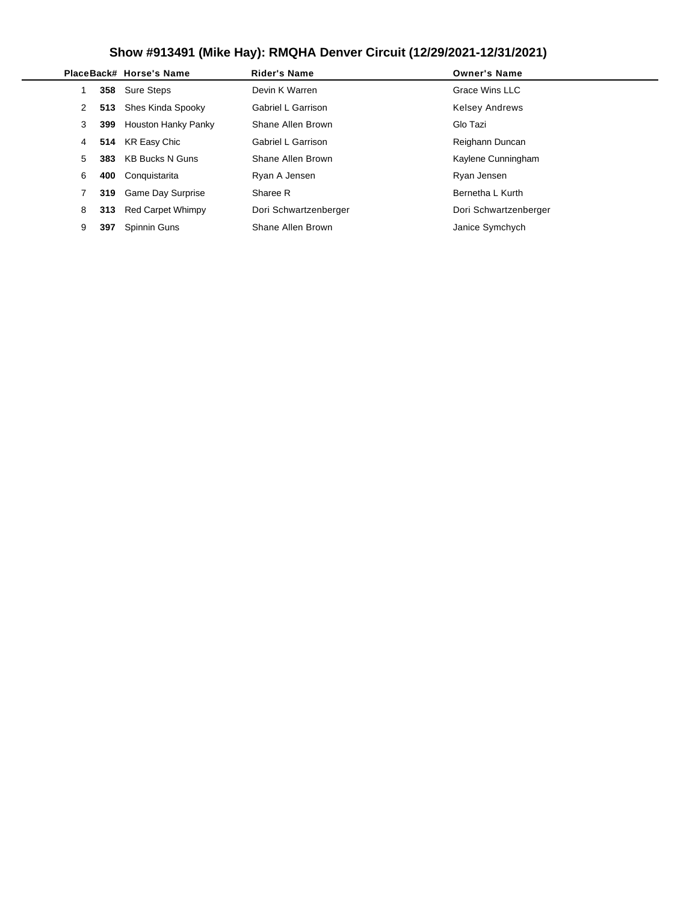|   |     | PlaceBack# Horse's Name  | <b>Rider's Name</b>       | <b>Owner's Name</b>   |
|---|-----|--------------------------|---------------------------|-----------------------|
|   |     | 358 Sure Steps           | Devin K Warren            | Grace Wins LLC        |
| 2 | 513 | Shes Kinda Spooky        | Gabriel L Garrison        | <b>Kelsey Andrews</b> |
| 3 | 399 | Houston Hanky Panky      | Shane Allen Brown         | Glo Tazi              |
| 4 |     | 514 KR Easy Chic         | <b>Gabriel L Garrison</b> | Reighann Duncan       |
| 5 | 383 | KB Bucks N Guns          | Shane Allen Brown         | Kaylene Cunningham    |
| 6 | 400 | Conquistarita            | Ryan A Jensen             | Ryan Jensen           |
|   | 319 | <b>Game Day Surprise</b> | Sharee R                  | Bernetha L Kurth      |
| 8 | 313 | <b>Red Carpet Whimpy</b> | Dori Schwartzenberger     | Dori Schwartzenberger |
| 9 | 397 | Spinnin Guns             | Shane Allen Brown         | Janice Symchych       |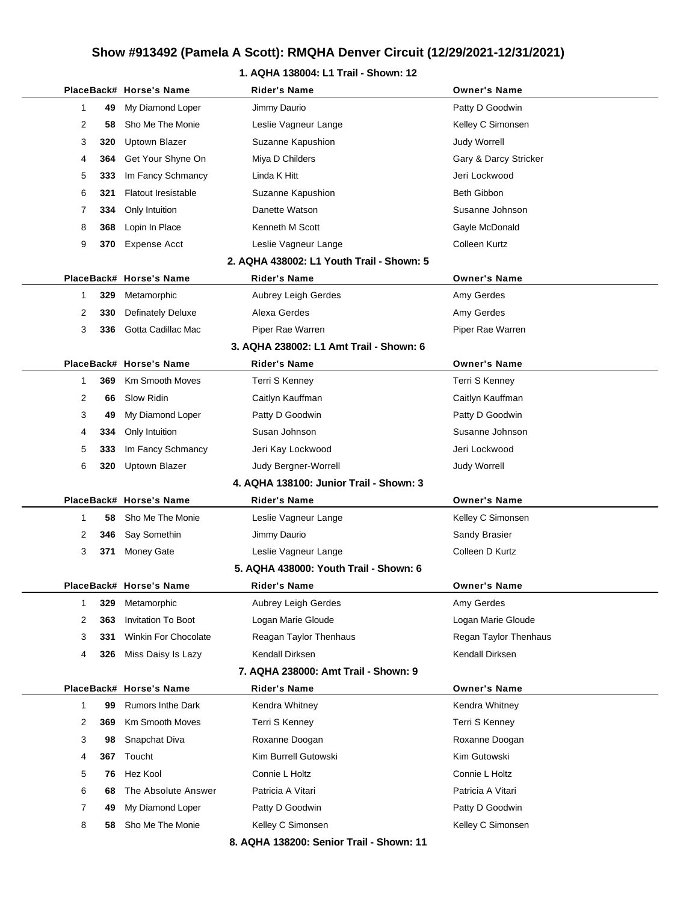#### **1. AQHA 138004: L1 Trail - Shown: 12**

|   |     | PlaceBack# Horse's Name    | <b>Rider's Name</b>                       | <b>Owner's Name</b>   |
|---|-----|----------------------------|-------------------------------------------|-----------------------|
| 1 | 49  | My Diamond Loper           | Jimmy Daurio                              | Patty D Goodwin       |
| 2 | 58  | Sho Me The Monie           | Leslie Vagneur Lange                      | Kelley C Simonsen     |
| 3 | 320 | Uptown Blazer              | Suzanne Kapushion                         | <b>Judy Worrell</b>   |
| 4 | 364 | Get Your Shyne On          | Miya D Childers                           | Gary & Darcy Stricker |
| 5 | 333 | Im Fancy Schmancy          | Linda K Hitt                              | Jeri Lockwood         |
| 6 | 321 | <b>Flatout Iresistable</b> | Suzanne Kapushion                         | Beth Gibbon           |
| 7 | 334 | Only Intuition             | Danette Watson                            | Susanne Johnson       |
| 8 | 368 | Lopin In Place             | Kenneth M Scott                           | Gayle McDonald        |
| 9 | 370 | Expense Acct               | Leslie Vagneur Lange                      | Colleen Kurtz         |
|   |     |                            | 2. AQHA 438002: L1 Youth Trail - Shown: 5 |                       |
|   |     | PlaceBack# Horse's Name    | Rider's Name                              | <b>Owner's Name</b>   |
| 1 | 329 | Metamorphic                | Aubrey Leigh Gerdes                       | Amy Gerdes            |
| 2 | 330 | <b>Definately Deluxe</b>   | Alexa Gerdes                              | Amy Gerdes            |
| 3 | 336 | Gotta Cadillac Mac         | Piper Rae Warren                          | Piper Rae Warren      |
|   |     |                            | 3. AQHA 238002: L1 Amt Trail - Shown: 6   |                       |
|   |     | PlaceBack# Horse's Name    | <b>Rider's Name</b>                       | <b>Owner's Name</b>   |
| 1 | 369 | <b>Km Smooth Moves</b>     | Terri S Kenney                            | Terri S Kenney        |
| 2 | 66  | Slow Ridin                 | Caitlyn Kauffman                          | Caitlyn Kauffman      |
| 3 | 49  | My Diamond Loper           | Patty D Goodwin                           | Patty D Goodwin       |
| 4 | 334 | Only Intuition             | Susan Johnson                             | Susanne Johnson       |
| 5 | 333 | Im Fancy Schmancy          | Jeri Kay Lockwood                         | Jeri Lockwood         |
| 6 | 320 | <b>Uptown Blazer</b>       | Judy Bergner-Worrell                      | <b>Judy Worrell</b>   |
|   |     |                            | 4. AQHA 138100: Junior Trail - Shown: 3   |                       |
|   |     | PlaceBack# Horse's Name    | <b>Rider's Name</b>                       | <b>Owner's Name</b>   |
| 1 | 58  | Sho Me The Monie           | Leslie Vagneur Lange                      | Kelley C Simonsen     |
| 2 | 346 | Say Somethin               | Jimmy Daurio                              | Sandy Brasier         |
| 3 | 371 | Money Gate                 | Leslie Vagneur Lange                      | Colleen D Kurtz       |
|   |     |                            | 5. AQHA 438000: Youth Trail - Shown: 6    |                       |
|   |     | PlaceBack# Horse's Name    | Rider's Name                              | <b>Owner's Name</b>   |
| 1 | 329 | Metamorphic                | Aubrey Leigh Gerdes                       | Amy Gerdes            |
| 2 | 363 | <b>Invitation To Boot</b>  | Logan Marie Gloude                        | Logan Marie Gloude    |
| 3 | 331 | Winkin For Chocolate       | Reagan Taylor Thenhaus                    | Regan Taylor Thenhaus |
| 4 | 326 | Miss Daisy Is Lazy         | Kendall Dirksen                           | Kendall Dirksen       |
|   |     |                            | 7. AQHA 238000: Amt Trail - Shown: 9      |                       |
|   |     | PlaceBack# Horse's Name    | Rider's Name                              | <b>Owner's Name</b>   |
| 1 | 99  | <b>Rumors Inthe Dark</b>   | Kendra Whitney                            | Kendra Whitney        |
| 2 | 369 | <b>Km Smooth Moves</b>     | Terri S Kenney                            | Terri S Kenney        |
| 3 | 98  | Snapchat Diva              | Roxanne Doogan                            | Roxanne Doogan        |
| 4 | 367 | Toucht                     | Kim Burrell Gutowski                      | Kim Gutowski          |
| 5 | 76  | Hez Kool                   | Connie L Holtz                            | Connie L Holtz        |
| 6 | 68  | The Absolute Answer        | Patricia A Vitari                         | Patricia A Vitari     |
| 7 | 49  | My Diamond Loper           | Patty D Goodwin                           | Patty D Goodwin       |
| 8 | 58  | Sho Me The Monie           | Kelley C Simonsen                         | Kelley C Simonsen     |
|   |     |                            | 8. AQHA 138200: Senior Trail - Shown: 11  |                       |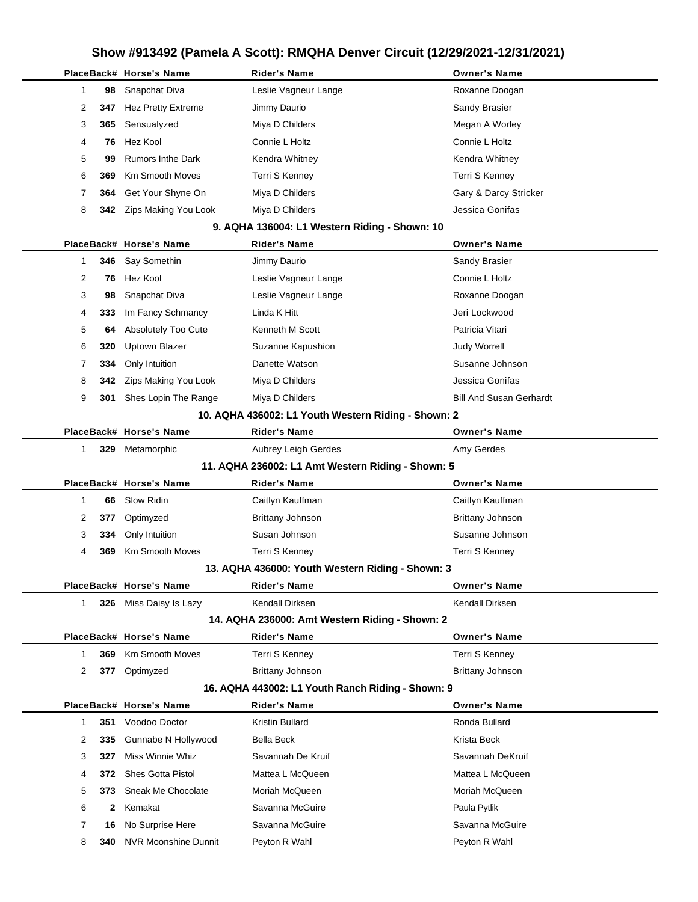|  |              |      | PlaceBack# Horse's Name     | <b>Rider's Name</b>                                 | <b>Owner's Name</b>            |
|--|--------------|------|-----------------------------|-----------------------------------------------------|--------------------------------|
|  | 1            | 98   | Snapchat Diva               | Leslie Vagneur Lange                                | Roxanne Doogan                 |
|  | 2            | 347  | Hez Pretty Extreme          | Jimmy Daurio                                        | Sandy Brasier                  |
|  | 3            | 365  | Sensualyzed                 | Miya D Childers                                     | Megan A Worley                 |
|  | 4            | 76   | Hez Kool                    | Connie L Holtz                                      | Connie L Holtz                 |
|  | 5            | 99   | <b>Rumors Inthe Dark</b>    | Kendra Whitney                                      | Kendra Whitney                 |
|  | 6            | 369  | <b>Km Smooth Moves</b>      | Terri S Kenney                                      | Terri S Kenney                 |
|  | 7            | 364  | Get Your Shyne On           | Miya D Childers                                     | Gary & Darcy Stricker          |
|  | 8            | 342  | Zips Making You Look        | Miya D Childers                                     | Jessica Gonifas                |
|  |              |      |                             | 9. AQHA 136004: L1 Western Riding - Shown: 10       |                                |
|  |              |      | PlaceBack# Horse's Name     | <b>Rider's Name</b>                                 | <b>Owner's Name</b>            |
|  | 1            | 346  | Say Somethin                | Jimmy Daurio                                        | Sandy Brasier                  |
|  | 2            | 76   | Hez Kool                    | Leslie Vagneur Lange                                | Connie L Holtz                 |
|  | 3            | 98   | Snapchat Diva               | Leslie Vagneur Lange                                | Roxanne Doogan                 |
|  | 4            | 333  | Im Fancy Schmancy           | Linda K Hitt                                        | Jeri Lockwood                  |
|  | 5            | 64   | Absolutely Too Cute         | Kenneth M Scott                                     | Patricia Vitari                |
|  | 6            | 320  | <b>Uptown Blazer</b>        | Suzanne Kapushion                                   | Judy Worrell                   |
|  | 7            | 334  | Only Intuition              | Danette Watson                                      | Susanne Johnson                |
|  | 8            | 342  | Zips Making You Look        | Miya D Childers                                     | Jessica Gonifas                |
|  | 9            | 301  | Shes Lopin The Range        | Miya D Childers                                     | <b>Bill And Susan Gerhardt</b> |
|  |              |      |                             | 10. AQHA 436002: L1 Youth Western Riding - Shown: 2 |                                |
|  |              |      | PlaceBack# Horse's Name     | <b>Rider's Name</b>                                 | <b>Owner's Name</b>            |
|  | $\mathbf{1}$ |      | 329 Metamorphic             | Aubrey Leigh Gerdes                                 | Amy Gerdes                     |
|  |              |      |                             | 11. AQHA 236002: L1 Amt Western Riding - Shown: 5   |                                |
|  |              |      | PlaceBack# Horse's Name     | <b>Rider's Name</b>                                 | <b>Owner's Name</b>            |
|  | 1            | 66   | Slow Ridin                  | Caitlyn Kauffman                                    | Caitlyn Kauffman               |
|  | 2            | 377  | Optimyzed                   | <b>Brittany Johnson</b>                             | Brittany Johnson               |
|  | 3            | 334  | Only Intuition              | Susan Johnson                                       | Susanne Johnson                |
|  | 4            | 369  | <b>Km Smooth Moves</b>      | Terri S Kenney                                      | Terri S Kenney                 |
|  |              |      |                             | 13. AQHA 436000: Youth Western Riding - Shown: 3    |                                |
|  |              |      | PlaceBack# Horse's Name     | Rider's Name                                        | <b>Owner's Name</b>            |
|  | $\mathbf{1}$ |      | 326 Miss Daisy Is Lazy      | Kendall Dirksen                                     | Kendall Dirksen                |
|  |              |      |                             | 14. AQHA 236000: Amt Western Riding - Shown: 2      |                                |
|  |              |      | PlaceBack# Horse's Name     | <b>Rider's Name</b>                                 | <b>Owner's Name</b>            |
|  | $\mathbf{1}$ | 369  | <b>Km Smooth Moves</b>      | Terri S Kenney                                      | Terri S Kenney                 |
|  | 2            | 377  | Optimyzed                   | <b>Brittany Johnson</b>                             | Brittany Johnson               |
|  |              |      |                             | 16. AQHA 443002: L1 Youth Ranch Riding - Shown: 9   |                                |
|  |              |      | PlaceBack# Horse's Name     | <b>Rider's Name</b>                                 | <b>Owner's Name</b>            |
|  | $\mathbf{1}$ | 351  | Voodoo Doctor               | Kristin Bullard                                     | Ronda Bullard                  |
|  | 2            | 335  | Gunnabe N Hollywood         | Bella Beck                                          | Krista Beck                    |
|  | 3            | 327  | Miss Winnie Whiz            | Savannah De Kruif                                   | Savannah DeKruif               |
|  | 4            | 372  | <b>Shes Gotta Pistol</b>    | Mattea L McQueen                                    | Mattea L McQueen               |
|  | 5            | 373  | Sneak Me Chocolate          | Moriah McQueen                                      | Moriah McQueen                 |
|  | 6            | 2    | Kemakat                     | Savanna McGuire                                     | Paula Pytlik                   |
|  | 7            | 16   | No Surprise Here            | Savanna McGuire                                     | Savanna McGuire                |
|  | 8            | 340. | <b>NVR Moonshine Dunnit</b> | Peyton R Wahl                                       | Peyton R Wahl                  |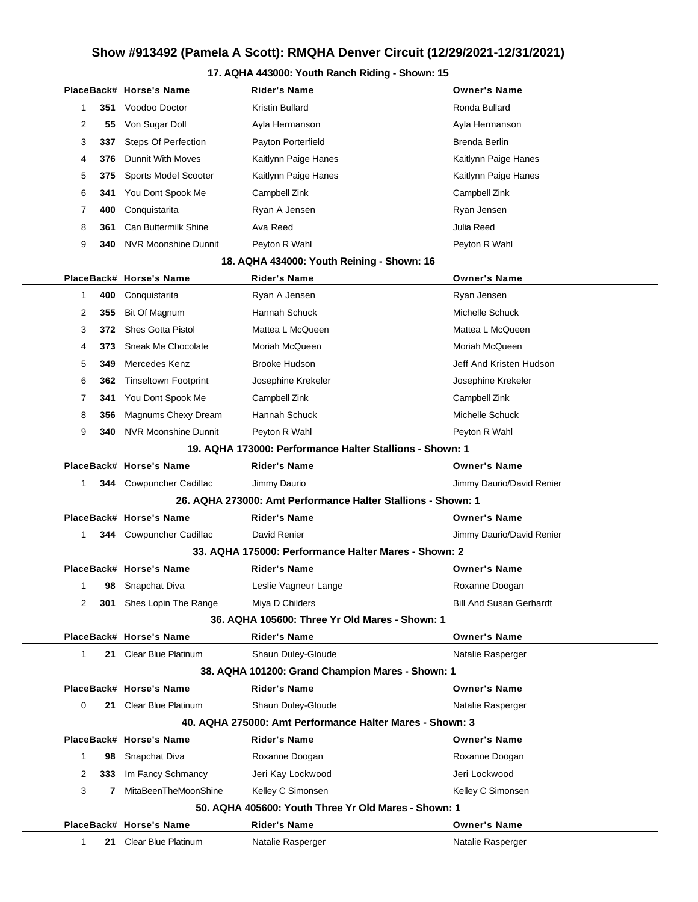#### **17. AQHA 443000: Youth Ranch Riding - Shown: 15**

|        |     | PlaceBack# Horse's Name                   | <b>Rider's Name</b>                                                       | <b>Owner's Name</b>            |
|--------|-----|-------------------------------------------|---------------------------------------------------------------------------|--------------------------------|
| 1      | 351 | Voodoo Doctor                             | Kristin Bullard                                                           | Ronda Bullard                  |
| 2      | 55  | Von Sugar Doll                            | Ayla Hermanson                                                            | Ayla Hermanson                 |
| 3      | 337 | <b>Steps Of Perfection</b>                | Payton Porterfield                                                        | Brenda Berlin                  |
| 4      | 376 | Dunnit With Moves                         | Kaitlynn Paige Hanes                                                      | Kaitlynn Paige Hanes           |
| 5      | 375 | Sports Model Scooter                      | Kaitlynn Paige Hanes                                                      | Kaitlynn Paige Hanes           |
| 6      | 341 | You Dont Spook Me                         | Campbell Zink                                                             | Campbell Zink                  |
| 7      | 400 | Conquistarita                             | Ryan A Jensen                                                             | Ryan Jensen                    |
| 8      | 361 | Can Buttermilk Shine                      | Ava Reed                                                                  | Julia Reed                     |
| 9      | 340 | <b>NVR Moonshine Dunnit</b>               | Peyton R Wahl                                                             | Peyton R Wahl                  |
|        |     |                                           | 18. AQHA 434000: Youth Reining - Shown: 16                                |                                |
|        |     | PlaceBack# Horse's Name                   | <b>Rider's Name</b>                                                       | <b>Owner's Name</b>            |
| 1      | 400 | Conquistarita                             | Ryan A Jensen                                                             | Ryan Jensen                    |
| 2      | 355 | Bit Of Magnum                             | Hannah Schuck                                                             | Michelle Schuck                |
| 3      | 372 | <b>Shes Gotta Pistol</b>                  | Mattea L McQueen                                                          | Mattea L McQueen               |
| 4      | 373 | Sneak Me Chocolate                        | Moriah McQueen                                                            | Moriah McQueen                 |
| 5      | 349 | Mercedes Kenz                             | Brooke Hudson                                                             | Jeff And Kristen Hudson        |
| 6      | 362 | <b>Tinseltown Footprint</b>               | Josephine Krekeler                                                        | Josephine Krekeler             |
| 7      | 341 | You Dont Spook Me                         | Campbell Zink                                                             | Campbell Zink                  |
| 8      | 356 | Magnums Chexy Dream                       | Hannah Schuck                                                             | Michelle Schuck                |
| 9      | 340 | <b>NVR Moonshine Dunnit</b>               | Peyton R Wahl                                                             | Peyton R Wahl                  |
|        |     |                                           | 19. AQHA 173000: Performance Halter Stallions - Shown: 1                  |                                |
|        |     | PlaceBack# Horse's Name                   | <b>Rider's Name</b>                                                       | <b>Owner's Name</b>            |
| 1      |     | <b>344</b> Cowpuncher Cadillac            | Jimmy Daurio                                                              | Jimmy Daurio/David Renier      |
|        |     |                                           | 26. AQHA 273000: Amt Performance Halter Stallions - Shown: 1              |                                |
|        |     | PlaceBack# Horse's Name                   | <b>Rider's Name</b>                                                       | <b>Owner's Name</b>            |
| 1      | 344 | <b>Cowpuncher Cadillac</b>                | David Renier                                                              | Jimmy Daurio/David Renier      |
|        |     |                                           | 33. AQHA 175000: Performance Halter Mares - Shown: 2                      |                                |
|        |     | PlaceBack# Horse's Name                   | <b>Rider's Name</b>                                                       | <b>Owner's Name</b>            |
| 1      | 98  | Snapchat Diva                             | Leslie Vagneur Lange                                                      | Roxanne Doogan                 |
| 2      | 301 | Shes Lopin The Range                      | Miya D Childers                                                           | <b>Bill And Susan Gerhardt</b> |
|        |     |                                           | 36. AQHA 105600: Three Yr Old Mares - Shown: 1                            |                                |
|        |     | PlaceBack# Horse's Name                   | <b>Rider's Name</b>                                                       | <b>Owner's Name</b>            |
| 1      | 21  | <b>Clear Blue Platinum</b>                | Shaun Duley-Gloude                                                        | Natalie Rasperger              |
|        |     |                                           | 38. AQHA 101200: Grand Champion Mares - Shown: 1                          |                                |
|        |     | PlaceBack# Horse's Name                   | Rider's Name                                                              | <b>Owner's Name</b>            |
| 0      | 21  | Clear Blue Platinum                       | Shaun Duley-Gloude                                                        | Natalie Rasperger              |
|        |     |                                           | 40. AQHA 275000: Amt Performance Halter Mares - Shown: 3                  |                                |
|        |     | PlaceBack# Horse's Name                   | <b>Rider's Name</b>                                                       | <b>Owner's Name</b>            |
| 1      | 98  | Snapchat Diva                             | Roxanne Doogan                                                            | Roxanne Doogan                 |
| 2<br>3 | 333 | Im Fancy Schmancy<br>MitaBeenTheMoonShine | Jeri Kay Lockwood                                                         | Jeri Lockwood                  |
|        |     |                                           | Kelley C Simonsen<br>50. AQHA 405600: Youth Three Yr Old Mares - Shown: 1 | Kelley C Simonsen              |
|        |     | PlaceBack# Horse's Name                   | Rider's Name                                                              | <b>Owner's Name</b>            |
| 1      | 21  | <b>Clear Blue Platinum</b>                | Natalie Rasperger                                                         | Natalie Rasperger              |
|        |     |                                           |                                                                           |                                |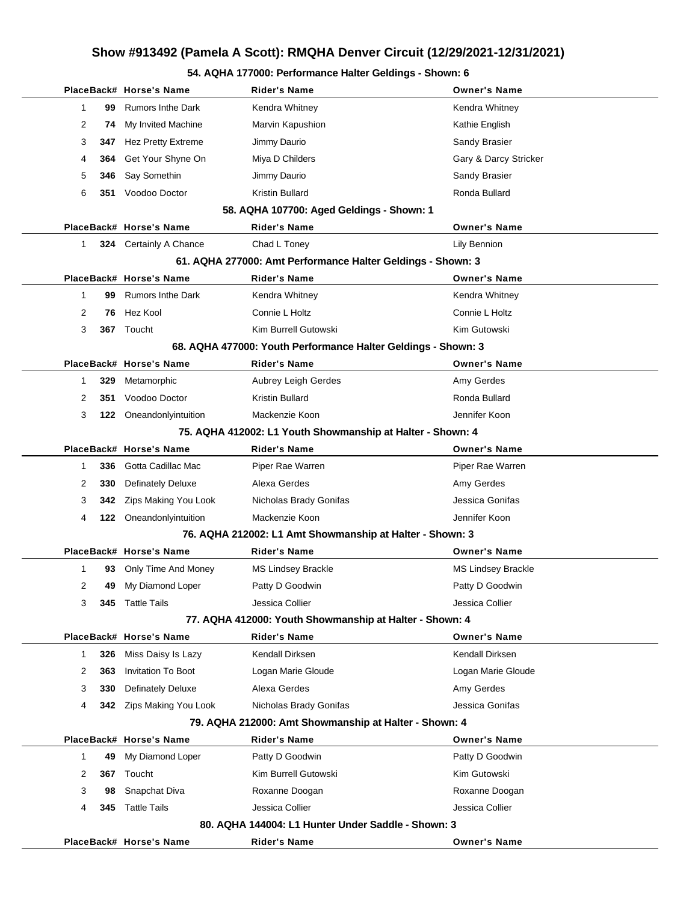#### **54. AQHA 177000: Performance Halter Geldings - Shown: 6**

|   |     | PlaceBack# Horse's Name   | <b>Rider's Name</b>                                           | <b>Owner's Name</b>       |
|---|-----|---------------------------|---------------------------------------------------------------|---------------------------|
| 1 | 99  | <b>Rumors Inthe Dark</b>  | Kendra Whitney                                                | Kendra Whitney            |
| 2 | 74  | My Invited Machine        | Marvin Kapushion                                              | Kathie English            |
| 3 | 347 | <b>Hez Pretty Extreme</b> | Jimmy Daurio                                                  | Sandy Brasier             |
| 4 | 364 | Get Your Shyne On         | Miya D Childers                                               | Gary & Darcy Stricker     |
| 5 | 346 | Say Somethin              | Jimmy Daurio                                                  | Sandy Brasier             |
| 6 | 351 | Voodoo Doctor             | Kristin Bullard                                               | Ronda Bullard             |
|   |     |                           | 58. AQHA 107700: Aged Geldings - Shown: 1                     |                           |
|   |     | PlaceBack# Horse's Name   | <b>Rider's Name</b>                                           | <b>Owner's Name</b>       |
| 1 |     | 324 Certainly A Chance    | Chad L Toney                                                  | Lily Bennion              |
|   |     |                           | 61. AQHA 277000: Amt Performance Halter Geldings - Shown: 3   |                           |
|   |     | PlaceBack# Horse's Name   | <b>Rider's Name</b>                                           | <b>Owner's Name</b>       |
| 1 | 99  | <b>Rumors Inthe Dark</b>  | Kendra Whitney                                                | Kendra Whitney            |
| 2 | 76  | Hez Kool                  | Connie L Holtz                                                | Connie L Holtz            |
| 3 |     | 367 Toucht                | Kim Burrell Gutowski                                          | Kim Gutowski              |
|   |     |                           | 68. AQHA 477000: Youth Performance Halter Geldings - Shown: 3 |                           |
|   |     | PlaceBack# Horse's Name   | <b>Rider's Name</b>                                           | <b>Owner's Name</b>       |
| 1 | 329 | Metamorphic               | Aubrey Leigh Gerdes                                           | Amy Gerdes                |
| 2 | 351 | Voodoo Doctor             | Kristin Bullard                                               | Ronda Bullard             |
| 3 |     | 122 Oneandonlyintuition   | Mackenzie Koon                                                | Jennifer Koon             |
|   |     |                           | 75. AQHA 412002: L1 Youth Showmanship at Halter - Shown: 4    |                           |
|   |     | PlaceBack# Horse's Name   | Rider's Name                                                  | <b>Owner's Name</b>       |
| 1 | 336 | Gotta Cadillac Mac        | Piper Rae Warren                                              | Piper Rae Warren          |
| 2 | 330 | <b>Definately Deluxe</b>  | Alexa Gerdes                                                  | Amy Gerdes                |
| 3 | 342 | Zips Making You Look      | Nicholas Brady Gonifas                                        | Jessica Gonifas           |
| 4 |     | 122 Oneandonlyintuition   | Mackenzie Koon                                                | Jennifer Koon             |
|   |     |                           | 76. AQHA 212002: L1 Amt Showmanship at Halter - Shown: 3      |                           |
|   |     | PlaceBack# Horse's Name   | Rider's Name                                                  | <b>Owner's Name</b>       |
| 1 | 93  | Only Time And Money       | <b>MS Lindsey Brackle</b>                                     | <b>MS Lindsey Brackle</b> |
| 2 | 49  | My Diamond Loper          | Patty D Goodwin                                               | Patty D Goodwin           |
| 3 | 345 | Tattle Tails              | Jessica Collier                                               | Jessica Collier           |
|   |     |                           | 77. AQHA 412000: Youth Showmanship at Halter - Shown: 4       |                           |
|   |     | PlaceBack# Horse's Name   | <b>Rider's Name</b>                                           | <b>Owner's Name</b>       |
| 1 | 326 | Miss Daisy Is Lazy        | Kendall Dirksen                                               | Kendall Dirksen           |
| 2 | 363 | <b>Invitation To Boot</b> | Logan Marie Gloude                                            | Logan Marie Gloude        |
| 3 | 330 | <b>Definately Deluxe</b>  | Alexa Gerdes                                                  | Amy Gerdes                |
| 4 |     | 342 Zips Making You Look  | Nicholas Brady Gonifas                                        | Jessica Gonifas           |
|   |     |                           | 79. AQHA 212000: Amt Showmanship at Halter - Shown: 4         |                           |
|   |     | PlaceBack# Horse's Name   | <b>Rider's Name</b>                                           | <b>Owner's Name</b>       |
| 1 | 49  | My Diamond Loper          | Patty D Goodwin                                               | Patty D Goodwin           |
| 2 | 367 | Toucht                    | Kim Burrell Gutowski                                          | Kim Gutowski              |
| 3 | 98  | Snapchat Diva             | Roxanne Doogan                                                | Roxanne Doogan            |
| 4 | 345 | <b>Tattle Tails</b>       | Jessica Collier                                               | Jessica Collier           |
|   |     |                           | 80. AQHA 144004: L1 Hunter Under Saddle - Shown: 3            |                           |
|   |     | PlaceBack# Horse's Name   | <b>Rider's Name</b>                                           | <b>Owner's Name</b>       |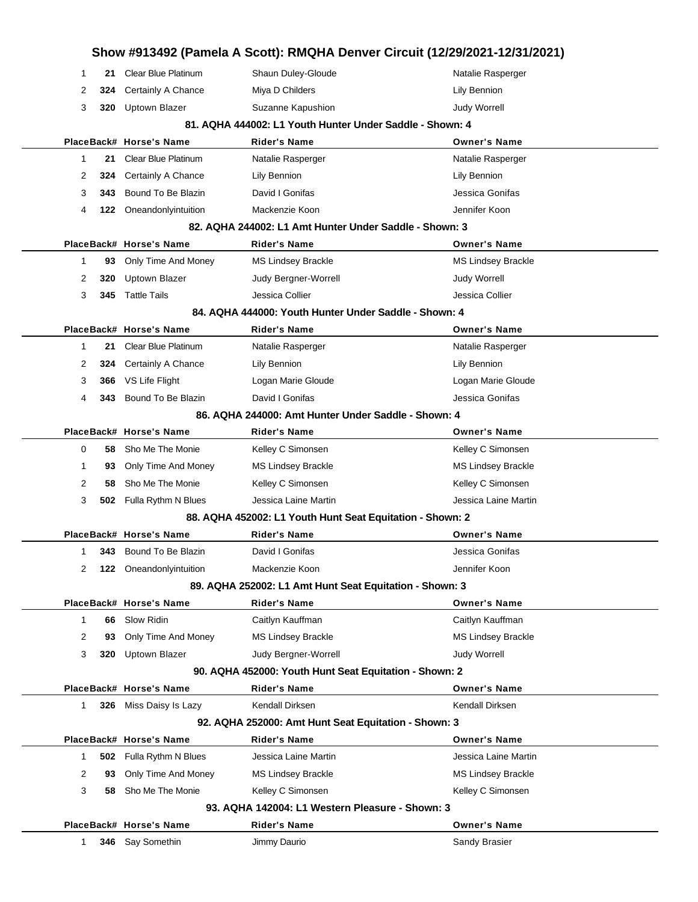| Show #913492 (Pamela A Scott): RMQHA Denver Circuit (12/29/2021-12/31/2021) |     |                            |                                                           |                           |  |
|-----------------------------------------------------------------------------|-----|----------------------------|-----------------------------------------------------------|---------------------------|--|
| 1                                                                           | 21  | <b>Clear Blue Platinum</b> | Shaun Duley-Gloude                                        | Natalie Rasperger         |  |
| 2                                                                           | 324 | Certainly A Chance         | Miya D Childers                                           | Lily Bennion              |  |
| 3                                                                           | 320 | <b>Uptown Blazer</b>       | Suzanne Kapushion                                         | <b>Judy Worrell</b>       |  |
|                                                                             |     |                            | 81. AQHA 444002: L1 Youth Hunter Under Saddle - Shown: 4  |                           |  |
|                                                                             |     | PlaceBack# Horse's Name    | Rider's Name                                              | <b>Owner's Name</b>       |  |
| $\mathbf{1}$                                                                | 21  | <b>Clear Blue Platinum</b> | Natalie Rasperger                                         | Natalie Rasperger         |  |
| 2                                                                           | 324 | Certainly A Chance         | Lily Bennion                                              | Lily Bennion              |  |
| 3                                                                           | 343 | Bound To Be Blazin         | David I Gonifas                                           | Jessica Gonifas           |  |
| 4                                                                           | 122 | Oneandonlyintuition        | Mackenzie Koon                                            | Jennifer Koon             |  |
|                                                                             |     |                            | 82. AQHA 244002: L1 Amt Hunter Under Saddle - Shown: 3    |                           |  |
|                                                                             |     | PlaceBack# Horse's Name    | Rider's Name                                              | <b>Owner's Name</b>       |  |
| $\mathbf 1$                                                                 | 93  | Only Time And Money        | <b>MS Lindsey Brackle</b>                                 | <b>MS Lindsey Brackle</b> |  |
| 2                                                                           | 320 | Uptown Blazer              | Judy Bergner-Worrell                                      | <b>Judy Worrell</b>       |  |
| 3                                                                           | 345 | <b>Tattle Tails</b>        | Jessica Collier                                           | Jessica Collier           |  |
|                                                                             |     |                            | 84. AQHA 444000: Youth Hunter Under Saddle - Shown: 4     |                           |  |
|                                                                             |     | PlaceBack# Horse's Name    | <b>Rider's Name</b>                                       | <b>Owner's Name</b>       |  |
| 1                                                                           | 21  | Clear Blue Platinum        | Natalie Rasperger                                         | Natalie Rasperger         |  |
| 2                                                                           | 324 | Certainly A Chance         | Lily Bennion                                              | Lily Bennion              |  |
| 3                                                                           | 366 | VS Life Flight             | Logan Marie Gloude                                        | Logan Marie Gloude        |  |
| 4                                                                           | 343 | Bound To Be Blazin         | David I Gonifas                                           | Jessica Gonifas           |  |
|                                                                             |     |                            | 86. AQHA 244000: Amt Hunter Under Saddle - Shown: 4       |                           |  |
|                                                                             |     | PlaceBack# Horse's Name    | <b>Rider's Name</b>                                       | <b>Owner's Name</b>       |  |
| 0                                                                           | 58  | Sho Me The Monie           | Kelley C Simonsen                                         | Kelley C Simonsen         |  |
| 1                                                                           | 93  | Only Time And Money        | <b>MS Lindsey Brackle</b>                                 | <b>MS Lindsey Brackle</b> |  |
| 2                                                                           | 58  | Sho Me The Monie           | Kelley C Simonsen                                         | Kelley C Simonsen         |  |
| 3                                                                           | 502 | Fulla Rythm N Blues        | Jessica Laine Martin                                      | Jessica Laine Martin      |  |
|                                                                             |     |                            | 88. AQHA 452002: L1 Youth Hunt Seat Equitation - Shown: 2 |                           |  |
|                                                                             |     | PlaceBack# Horse's Name    | <b>Rider's Name</b>                                       | <b>Owner's Name</b>       |  |
| 1                                                                           | 343 | Bound To Be Blazin         | David I Gonifas                                           | Jessica Gonifas           |  |
| 2                                                                           |     | 122 Oneandonlyintuition    | Mackenzie Koon                                            | Jennifer Koon             |  |
|                                                                             |     |                            | 89. AQHA 252002: L1 Amt Hunt Seat Equitation - Shown: 3   |                           |  |
|                                                                             |     | PlaceBack# Horse's Name    | <b>Rider's Name</b>                                       | <b>Owner's Name</b>       |  |
| 1                                                                           | 66  | <b>Slow Ridin</b>          | Caitlyn Kauffman                                          | Caitlyn Kauffman          |  |
| 2                                                                           | 93  | Only Time And Money        | MS Lindsey Brackle                                        | <b>MS Lindsey Brackle</b> |  |
| 3                                                                           | 320 | Uptown Blazer              | Judy Bergner-Worrell                                      | Judy Worrell              |  |
|                                                                             |     |                            | 90. AQHA 452000: Youth Hunt Seat Equitation - Shown: 2    |                           |  |
|                                                                             |     | PlaceBack# Horse's Name    | <b>Rider's Name</b>                                       | <b>Owner's Name</b>       |  |
| $\mathbf{1}$                                                                |     | 326 Miss Daisy Is Lazy     | Kendall Dirksen                                           | Kendall Dirksen           |  |
|                                                                             |     |                            | 92. AQHA 252000: Amt Hunt Seat Equitation - Shown: 3      |                           |  |
|                                                                             |     | PlaceBack# Horse's Name    | <b>Rider's Name</b>                                       | <b>Owner's Name</b>       |  |
| $\mathbf{1}$                                                                | 502 | Fulla Rythm N Blues        | Jessica Laine Martin                                      | Jessica Laine Martin      |  |
| 2                                                                           | 93  | Only Time And Money        | <b>MS Lindsey Brackle</b>                                 | <b>MS Lindsey Brackle</b> |  |
| 3                                                                           | 58  | Sho Me The Monie           | Kelley C Simonsen                                         | Kelley C Simonsen         |  |
|                                                                             |     |                            | 93. AQHA 142004: L1 Western Pleasure - Shown: 3           |                           |  |
|                                                                             |     | PlaceBack# Horse's Name    | <b>Rider's Name</b>                                       | <b>Owner's Name</b>       |  |
| $\mathbf{1}$                                                                |     | 346 Say Somethin           | Jimmy Daurio                                              | Sandy Brasier             |  |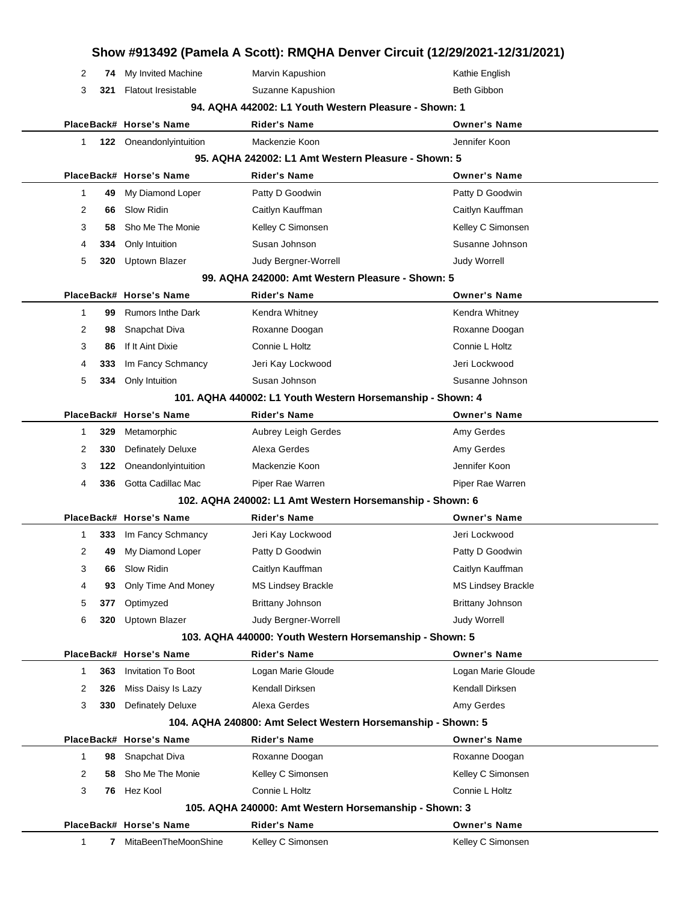| Show #913492 (Pamela A Scott): RMQHA Denver Circuit (12/29/2021-12/31/2021) |     |                            |                                                              |                           |
|-----------------------------------------------------------------------------|-----|----------------------------|--------------------------------------------------------------|---------------------------|
| 2                                                                           | 74  | My Invited Machine         | Marvin Kapushion                                             | Kathie English            |
| 3                                                                           | 321 | <b>Flatout Iresistable</b> | Suzanne Kapushion                                            | Beth Gibbon               |
|                                                                             |     |                            | 94. AQHA 442002: L1 Youth Western Pleasure - Shown: 1        |                           |
|                                                                             |     | PlaceBack# Horse's Name    | <b>Rider's Name</b>                                          | <b>Owner's Name</b>       |
| 1                                                                           |     | 122 Oneandonlyintuition    | Mackenzie Koon                                               | Jennifer Koon             |
|                                                                             |     |                            | 95. AQHA 242002: L1 Amt Western Pleasure - Shown: 5          |                           |
|                                                                             |     | PlaceBack# Horse's Name    | <b>Rider's Name</b>                                          | <b>Owner's Name</b>       |
| 1                                                                           | 49  | My Diamond Loper           | Patty D Goodwin                                              | Patty D Goodwin           |
| 2                                                                           | 66  | Slow Ridin                 | Caitlyn Kauffman                                             | Caitlyn Kauffman          |
| 3                                                                           | 58  | Sho Me The Monie           | Kelley C Simonsen                                            | Kelley C Simonsen         |
| 4                                                                           | 334 | Only Intuition             | Susan Johnson                                                | Susanne Johnson           |
| 5                                                                           | 320 | <b>Uptown Blazer</b>       | Judy Bergner-Worrell                                         | Judy Worrell              |
|                                                                             |     |                            | 99. AQHA 242000: Amt Western Pleasure - Shown: 5             |                           |
|                                                                             |     | PlaceBack# Horse's Name    | <b>Rider's Name</b>                                          | <b>Owner's Name</b>       |
| 1                                                                           | 99  | <b>Rumors Inthe Dark</b>   | Kendra Whitney                                               | Kendra Whitney            |
| 2                                                                           | 98  | Snapchat Diva              | Roxanne Doogan                                               | Roxanne Doogan            |
| 3                                                                           | 86  | If It Aint Dixie           | Connie L Holtz                                               | Connie L Holtz            |
| 4                                                                           | 333 | Im Fancy Schmancy          | Jeri Kay Lockwood                                            | Jeri Lockwood             |
| 5                                                                           | 334 | Only Intuition             | Susan Johnson                                                | Susanne Johnson           |
|                                                                             |     |                            | 101. AQHA 440002: L1 Youth Western Horsemanship - Shown: 4   |                           |
|                                                                             |     | PlaceBack# Horse's Name    | Rider's Name                                                 | <b>Owner's Name</b>       |
| 1                                                                           | 329 | Metamorphic                | Aubrey Leigh Gerdes                                          | Amy Gerdes                |
| 2                                                                           | 330 | <b>Definately Deluxe</b>   | Alexa Gerdes                                                 | Amy Gerdes                |
| 3                                                                           | 122 | Oneandonlyintuition        | Mackenzie Koon                                               | Jennifer Koon             |
| 4                                                                           | 336 | Gotta Cadillac Mac         | Piper Rae Warren                                             | Piper Rae Warren          |
|                                                                             |     |                            | 102. AQHA 240002: L1 Amt Western Horsemanship - Shown: 6     |                           |
|                                                                             |     | PlaceBack# Horse's Name    | <b>Rider's Name</b>                                          | <b>Owner's Name</b>       |
| 1                                                                           | 333 | Im Fancy Schmancy          | Jeri Kay Lockwood                                            | Jeri Lockwood             |
| 2                                                                           | 49  | My Diamond Loper           | Patty D Goodwin                                              | Patty D Goodwin           |
| 3                                                                           | 66  | Slow Ridin                 | Caitlyn Kauffman                                             | Caitlyn Kauffman          |
| 4                                                                           | 93  | Only Time And Money        | <b>MS Lindsey Brackle</b>                                    | <b>MS Lindsey Brackle</b> |
| 5                                                                           | 377 | Optimyzed                  | Brittany Johnson                                             | Brittany Johnson          |
| 6                                                                           | 320 | <b>Uptown Blazer</b>       | Judy Bergner-Worrell                                         | <b>Judy Worrell</b>       |
|                                                                             |     |                            | 103. AQHA 440000: Youth Western Horsemanship - Shown: 5      |                           |
|                                                                             |     | PlaceBack# Horse's Name    | <b>Rider's Name</b>                                          | <b>Owner's Name</b>       |
| 1                                                                           | 363 | <b>Invitation To Boot</b>  | Logan Marie Gloude                                           | Logan Marie Gloude        |
| 2                                                                           | 326 | Miss Daisy Is Lazy         | Kendall Dirksen                                              | Kendall Dirksen           |
| 3                                                                           | 330 | <b>Definately Deluxe</b>   | Alexa Gerdes                                                 | Amy Gerdes                |
|                                                                             |     |                            | 104. AQHA 240800: Amt Select Western Horsemanship - Shown: 5 |                           |
|                                                                             |     | PlaceBack# Horse's Name    | <b>Rider's Name</b>                                          | <b>Owner's Name</b>       |
| 1                                                                           | 98  | Snapchat Diva              | Roxanne Doogan                                               | Roxanne Doogan            |
| 2                                                                           | 58  | Sho Me The Monie           | Kelley C Simonsen                                            | Kelley C Simonsen         |
| 3                                                                           |     | 76 Hez Kool                | Connie L Holtz                                               | Connie L Holtz            |
|                                                                             |     |                            | 105. AQHA 240000: Amt Western Horsemanship - Shown: 3        |                           |
|                                                                             |     | PlaceBack# Horse's Name    | <b>Rider's Name</b>                                          | <b>Owner's Name</b>       |
| 1                                                                           | 7   | MitaBeenTheMoonShine       | Kelley C Simonsen                                            | Kelley C Simonsen         |
|                                                                             |     |                            |                                                              |                           |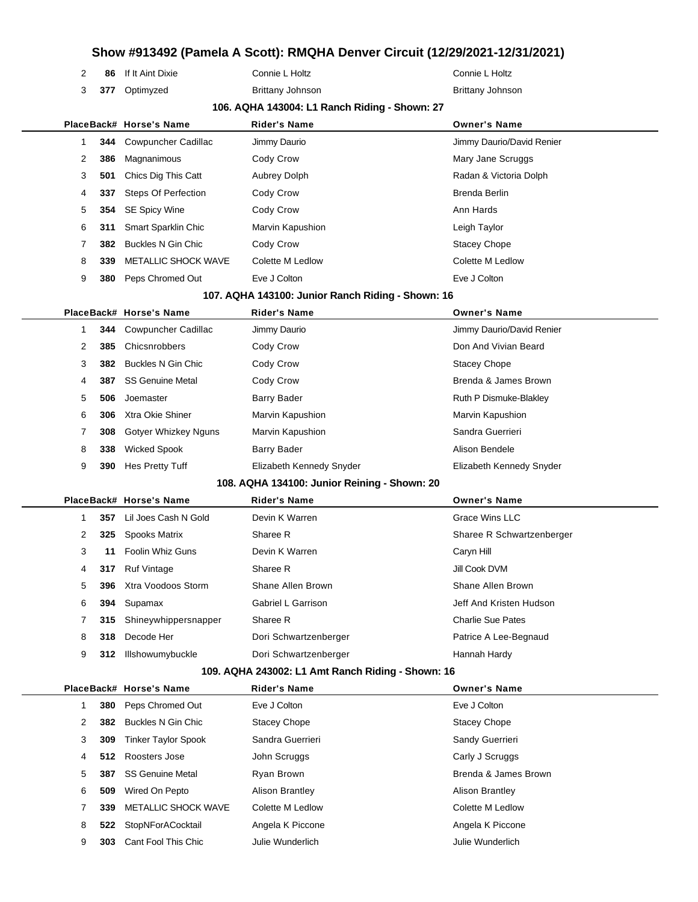| 2 | 86 If It Aint Dixie |
|---|---------------------|
|   |                     |

**377** Optimyzed Brittany Johnson Brittany Johnson

Connie L Holtz **Connie L Holtz** Connie L Holtz

#### **106. AQHA 143004: L1 Ranch Riding - Shown: 27**

|   |     | PlaceBack# Horse's Name        | <b>Rider's Name</b> | <b>Owner's Name</b>       |
|---|-----|--------------------------------|---------------------|---------------------------|
|   |     | <b>344</b> Cowpuncher Cadillac | Jimmy Daurio        | Jimmy Daurio/David Renier |
| 2 | 386 | Magnanimous                    | Cody Crow           | Mary Jane Scruggs         |
| 3 | 501 | Chics Dig This Catt            | Aubrey Dolph        | Radan & Victoria Dolph    |
| 4 | 337 | <b>Steps Of Perfection</b>     | Cody Crow           | Brenda Berlin             |
| 5 |     | 354 SE Spicy Wine              | Cody Crow           | Ann Hards                 |
| 6 | 311 | Smart Sparklin Chic            | Marvin Kapushion    | Leigh Taylor              |
|   | 382 | Buckles N Gin Chic             | Cody Crow           | <b>Stacey Chope</b>       |
| 8 | 339 | <b>METALLIC SHOCK WAVE</b>     | Colette M Ledlow    | Colette M Ledlow          |
| 9 | 380 | Peps Chromed Out               | Eve J Colton        | Eve J Colton              |

#### **107. AQHA 143100: Junior Ranch Riding - Shown: 16**

|   |     | PlaceBack# Horse's Name | <b>Rider's Name</b>      | <b>Owner's Name</b>       |
|---|-----|-------------------------|--------------------------|---------------------------|
|   | 344 | Cowpuncher Cadillac     | Jimmy Daurio             | Jimmy Daurio/David Renier |
| 2 | 385 | Chicsnrobbers           | Cody Crow                | Don And Vivian Beard      |
| 3 | 382 | Buckles N Gin Chic      | Cody Crow                | <b>Stacey Chope</b>       |
| 4 | 387 | <b>SS Genuine Metal</b> | Cody Crow                | Brenda & James Brown      |
| 5 | 506 | Joemaster               | Barry Bader              | Ruth P Dismuke-Blakley    |
| 6 | 306 | Xtra Okie Shiner        | Marvin Kapushion         | Marvin Kapushion          |
|   | 308 | Gotyer Whizkey Nguns    | Marvin Kapushion         | Sandra Guerrieri          |
| 8 | 338 | <b>Wicked Spook</b>     | Barry Bader              | Alison Bendele            |
| 9 | 390 | Hes Pretty Tuff         | Elizabeth Kennedy Snyder | Elizabeth Kennedy Snyder  |

#### **108. AQHA 134100: Junior Reining - Shown: 20**

|   |     | PlaceBack# Horse's Name | <b>Rider's Name</b>   | <b>Owner's Name</b>       |  |
|---|-----|-------------------------|-----------------------|---------------------------|--|
|   | 357 | Lil Joes Cash N Gold    | Devin K Warren        | Grace Wins LLC            |  |
| 2 | 325 | <b>Spooks Matrix</b>    | Sharee R              | Sharee R Schwartzenberger |  |
| 3 | 11  | <b>Foolin Whiz Guns</b> | Devin K Warren        | Caryn Hill                |  |
| 4 | 317 | <b>Ruf Vintage</b>      | Sharee R              | Jill Cook DVM             |  |
| 5 | 396 | Xtra Voodoos Storm      | Shane Allen Brown     | Shane Allen Brown         |  |
| 6 | 394 | Supamax                 | Gabriel L Garrison    | Jeff And Kristen Hudson   |  |
| 7 | 315 | Shineywhippersnapper    | Sharee R              | <b>Charlie Sue Pates</b>  |  |
| 8 | 318 | Decode Her              | Dori Schwartzenberger | Patrice A Lee-Begnaud     |  |
| 9 | 312 | Illshowumybuckle        | Dori Schwartzenberger | Hannah Hardy              |  |
|   |     |                         |                       |                           |  |

#### **109. AQHA 243002: L1 Amt Ranch Riding - Shown: 16**

|   |     | PlaceBack# Horse's Name    | <b>Rider's Name</b>    | <b>Owner's Name</b>    |
|---|-----|----------------------------|------------------------|------------------------|
|   | 380 | Peps Chromed Out           | Eve J Colton           | Eve J Colton           |
| 2 | 382 | Buckles N Gin Chic         | <b>Stacey Chope</b>    | <b>Stacey Chope</b>    |
| 3 | 309 | <b>Tinker Taylor Spook</b> | Sandra Guerrieri       | Sandy Guerrieri        |
| 4 | 512 | Roosters Jose              | John Scruggs           | Carly J Scruggs        |
| 5 | 387 | <b>SS Genuine Metal</b>    | Ryan Brown             | Brenda & James Brown   |
| 6 | 509 | Wired On Pepto             | <b>Alison Brantley</b> | <b>Alison Brantley</b> |
|   | 339 | <b>METALLIC SHOCK WAVE</b> | Colette M Ledlow       | Colette M Ledlow       |
| 8 | 522 | StopNForACocktail          | Angela K Piccone       | Angela K Piccone       |
| 9 | 303 | Cant Fool This Chic        | Julie Wunderlich       | Julie Wunderlich       |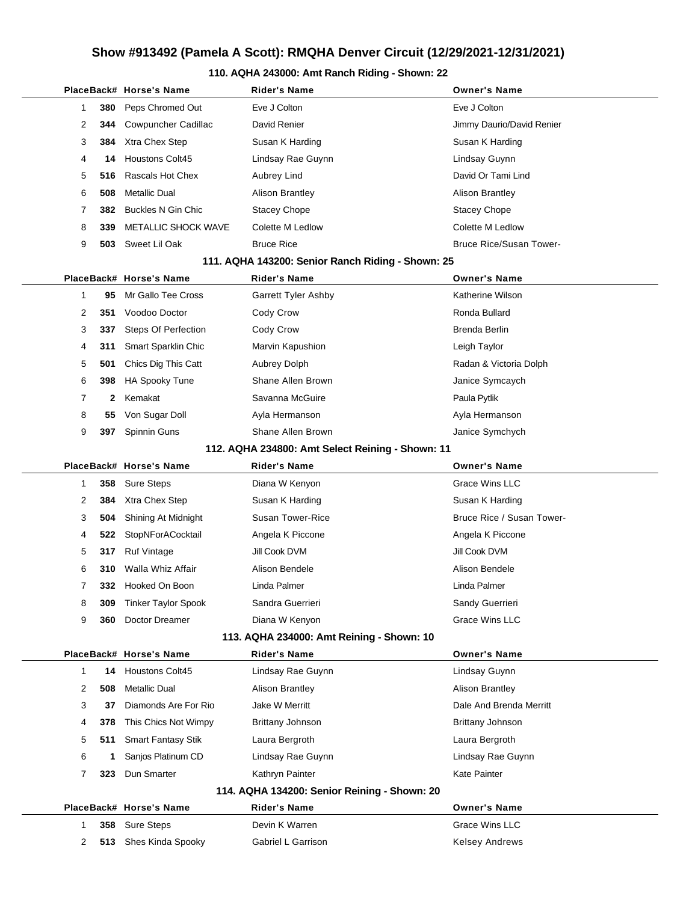#### **110. AQHA 243000: Amt Ranch Riding - Shown: 22**

|                                                  |                                                   |     | PlaceBack# Horse's Name    | <b>Rider's Name</b>        | <b>Owner's Name</b>            |  |  |  |  |
|--------------------------------------------------|---------------------------------------------------|-----|----------------------------|----------------------------|--------------------------------|--|--|--|--|
|                                                  | 1                                                 | 380 | Peps Chromed Out           | Eve J Colton               | Eve J Colton                   |  |  |  |  |
|                                                  | 2                                                 | 344 | <b>Cowpuncher Cadillac</b> | David Renier               | Jimmy Daurio/David Renier      |  |  |  |  |
|                                                  | 3                                                 | 384 | Xtra Chex Step             | Susan K Harding            | Susan K Harding                |  |  |  |  |
|                                                  | 4                                                 | 14  | <b>Houstons Colt45</b>     | Lindsay Rae Guynn          | Lindsay Guynn                  |  |  |  |  |
|                                                  | 5                                                 | 516 | Rascals Hot Chex           | Aubrey Lind                | David Or Tami Lind             |  |  |  |  |
|                                                  | 6                                                 | 508 | <b>Metallic Dual</b>       | <b>Alison Brantley</b>     | <b>Alison Brantley</b>         |  |  |  |  |
|                                                  | 7                                                 | 382 | <b>Buckles N Gin Chic</b>  | <b>Stacey Chope</b>        | <b>Stacey Chope</b>            |  |  |  |  |
|                                                  | 8                                                 | 339 | METALLIC SHOCK WAVE        | Colette M Ledlow           | Colette M Ledlow               |  |  |  |  |
|                                                  | 9                                                 | 503 | Sweet Lil Oak              | <b>Bruce Rice</b>          | <b>Bruce Rice/Susan Tower-</b> |  |  |  |  |
|                                                  | 111. AQHA 143200: Senior Ranch Riding - Shown: 25 |     |                            |                            |                                |  |  |  |  |
|                                                  |                                                   |     | PlaceBack# Horse's Name    | Rider's Name               | <b>Owner's Name</b>            |  |  |  |  |
|                                                  | 1                                                 | 95  | Mr Gallo Tee Cross         | <b>Garrett Tyler Ashby</b> | Katherine Wilson               |  |  |  |  |
|                                                  | 2                                                 | 351 | Voodoo Doctor              | Cody Crow                  | Ronda Bullard                  |  |  |  |  |
|                                                  | 3                                                 | 337 | <b>Steps Of Perfection</b> | Cody Crow                  | <b>Brenda Berlin</b>           |  |  |  |  |
|                                                  | 4                                                 | 311 | Smart Sparklin Chic        | Marvin Kapushion           | Leigh Taylor                   |  |  |  |  |
|                                                  | 5                                                 | 501 | Chics Dig This Catt        | Aubrey Dolph               | Radan & Victoria Dolph         |  |  |  |  |
|                                                  | 6                                                 | 398 | <b>HA Spooky Tune</b>      | Shane Allen Brown          | Janice Symcaych                |  |  |  |  |
|                                                  | 7                                                 | 2   | Kemakat                    | Savanna McGuire            | Paula Pytlik                   |  |  |  |  |
|                                                  | 8                                                 | 55  | Von Sugar Doll             | Ayla Hermanson             | Ayla Hermanson                 |  |  |  |  |
|                                                  | 9                                                 | 397 | Spinnin Guns               | Shane Allen Brown          | Janice Symchych                |  |  |  |  |
| 112. AQHA 234800: Amt Select Reining - Shown: 11 |                                                   |     |                            |                            |                                |  |  |  |  |
|                                                  |                                                   |     | PlaceBack# Horse's Name    | Rider's Name               | <b>Owner's Name</b>            |  |  |  |  |
|                                                  | 1                                                 | 358 | <b>Sure Steps</b>          | Diana W Kenyon             | <b>Grace Wins LLC</b>          |  |  |  |  |
|                                                  | 2                                                 | 384 | Xtra Chex Step             | Susan K Harding            | Susan K Harding                |  |  |  |  |
|                                                  | 3                                                 | 504 | Shining At Midnight        | <b>Susan Tower-Rice</b>    | Bruce Rice / Susan Tower-      |  |  |  |  |
|                                                  | 4                                                 | 522 | StopNForACocktail          | Angela K Piccone           | Angela K Piccone               |  |  |  |  |
|                                                  | 5                                                 | 317 | <b>Ruf Vintage</b>         | Jill Cook DVM              | Jill Cook DVM                  |  |  |  |  |
|                                                  | 6                                                 | 310 | Walla Whiz Affair          | Alison Bendele             | Alison Bendele                 |  |  |  |  |
|                                                  | 7                                                 | 332 | Hooked On Boon             | Linda Palmer               | Linda Palmer                   |  |  |  |  |
|                                                  | 8                                                 | 309 | <b>Tinker Taylor Spook</b> | Sandra Guerrieri           | Sandy Guerrieri                |  |  |  |  |
|                                                  | 9                                                 | 360 | Doctor Dreamer             | Diana W Kenyon             | <b>Grace Wins LLC</b>          |  |  |  |  |
| 113. AQHA 234000: Amt Reining - Shown: 10        |                                                   |     |                            |                            |                                |  |  |  |  |
|                                                  |                                                   |     | PlaceBack# Horse's Name    | <b>Rider's Name</b>        | <b>Owner's Name</b>            |  |  |  |  |
|                                                  | 1                                                 | 14  | <b>Houstons Colt45</b>     | Lindsay Rae Guynn          | Lindsay Guynn                  |  |  |  |  |
|                                                  | 2                                                 | 508 | <b>Metallic Dual</b>       | <b>Alison Brantley</b>     | <b>Alison Brantley</b>         |  |  |  |  |
|                                                  | 3                                                 | 37  | Diamonds Are For Rio       | Jake W Merritt             | Dale And Brenda Merritt        |  |  |  |  |
|                                                  | 4                                                 | 378 | This Chics Not Wimpy       | <b>Brittany Johnson</b>    | <b>Brittany Johnson</b>        |  |  |  |  |
|                                                  | 5                                                 | 511 | Smart Fantasy Stik         | Laura Bergroth             | Laura Bergroth                 |  |  |  |  |
|                                                  | 6                                                 | 1   | Sanjos Platinum CD         | Lindsay Rae Guynn          | Lindsay Rae Guynn              |  |  |  |  |
|                                                  | 7                                                 | 323 | Dun Smarter                | Kathryn Painter            | Kate Painter                   |  |  |  |  |
| 114. AQHA 134200: Senior Reining - Shown: 20     |                                                   |     |                            |                            |                                |  |  |  |  |
|                                                  |                                                   |     | PlaceBack# Horse's Name    | Rider's Name               | <b>Owner's Name</b>            |  |  |  |  |
|                                                  | 1                                                 | 358 | <b>Sure Steps</b>          | Devin K Warren             | Grace Wins LLC                 |  |  |  |  |
|                                                  | 2                                                 | 513 | Shes Kinda Spooky          | Gabriel L Garrison         | <b>Kelsey Andrews</b>          |  |  |  |  |